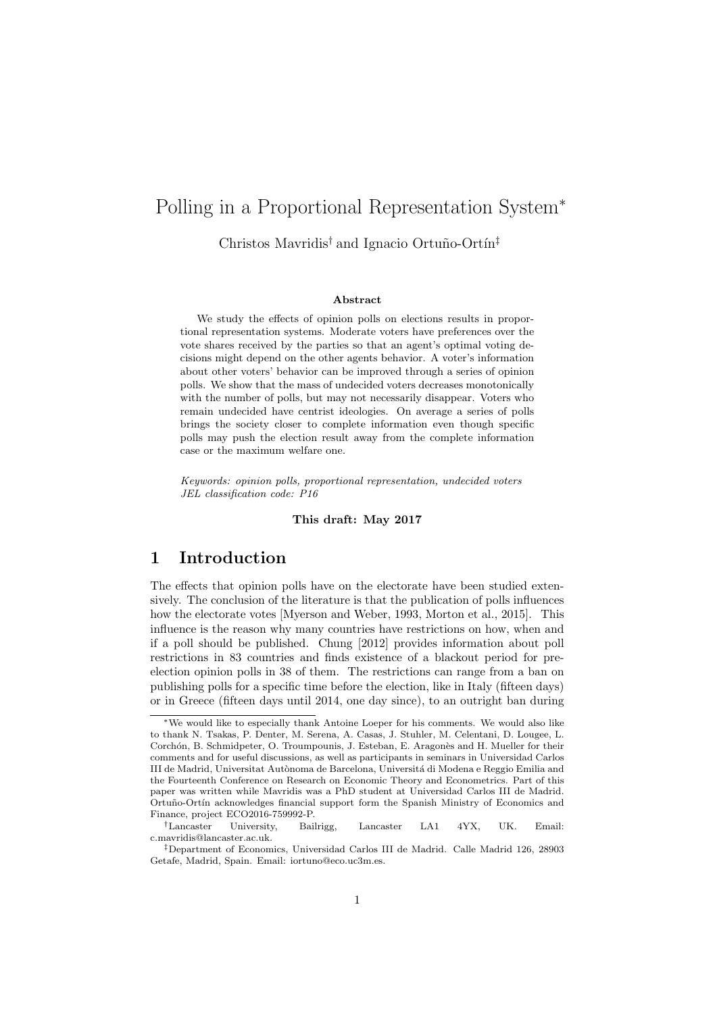# Polling in a Proportional Representation System<sup>∗</sup>

Christos Mavridis<sup>†</sup> and Ignacio Ortuño-Ortín<sup>‡</sup>

#### Abstract

We study the effects of opinion polls on elections results in proportional representation systems. Moderate voters have preferences over the vote shares received by the parties so that an agent's optimal voting decisions might depend on the other agents behavior. A voter's information about other voters' behavior can be improved through a series of opinion polls. We show that the mass of undecided voters decreases monotonically with the number of polls, but may not necessarily disappear. Voters who remain undecided have centrist ideologies. On average a series of polls brings the society closer to complete information even though specific polls may push the election result away from the complete information case or the maximum welfare one.

Keywords: opinion polls, proportional representation, undecided voters JEL classification code: P16

#### This draft: May 2017

### 1 Introduction

The effects that opinion polls have on the electorate have been studied extensively. The conclusion of the literature is that the publication of polls influences how the electorate votes [Myerson and Weber, 1993, Morton et al., 2015]. This influence is the reason why many countries have restrictions on how, when and if a poll should be published. Chung [2012] provides information about poll restrictions in 83 countries and finds existence of a blackout period for preelection opinion polls in 38 of them. The restrictions can range from a ban on publishing polls for a specific time before the election, like in Italy (fifteen days) or in Greece (fifteen days until 2014, one day since), to an outright ban during

<sup>∗</sup>We would like to especially thank Antoine Loeper for his comments. We would also like to thank N. Tsakas, P. Denter, M. Serena, A. Casas, J. Stuhler, M. Celentani, D. Lougee, L. Corchón, B. Schmidpeter, O. Troumpounis, J. Esteban, E. Aragonès and H. Mueller for their comments and for useful discussions, as well as participants in seminars in Universidad Carlos III de Madrid, Universitat Autònoma de Barcelona, Universitá di Modena e Reggio Emilia and the Fourteenth Conference on Research on Economic Theory and Econometrics. Part of this paper was written while Mavridis was a PhD student at Universidad Carlos III de Madrid. Ortuño-Ortín acknowledges financial support form the Spanish Ministry of Economics and Finance, project ECO2016-759992-P.

<sup>†</sup>Lancaster University, Bailrigg, Lancaster LA1 4YX, UK. Email: c.mavridis@lancaster.ac.uk.

<sup>‡</sup>Department of Economics, Universidad Carlos III de Madrid. Calle Madrid 126, 28903 Getafe, Madrid, Spain. Email: iortuno@eco.uc3m.es.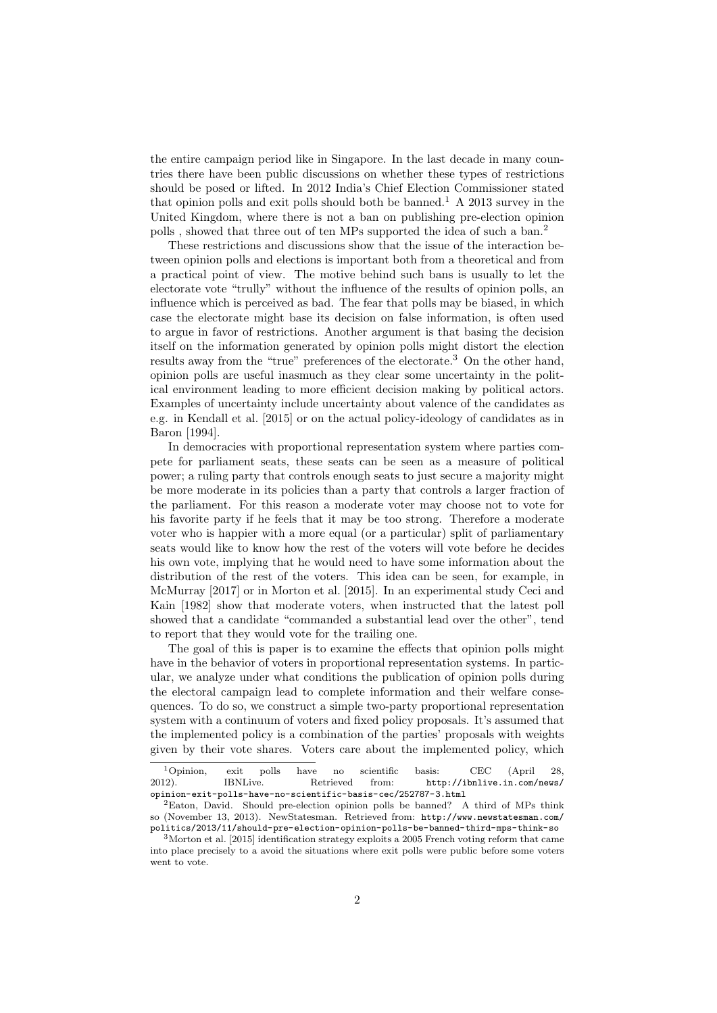the entire campaign period like in Singapore. In the last decade in many countries there have been public discussions on whether these types of restrictions should be posed or lifted. In 2012 India's Chief Election Commissioner stated that opinion polls and exit polls should both be banned.<sup>1</sup> A 2013 survey in the United Kingdom, where there is not a ban on publishing pre-election opinion polls, showed that three out of ten MPs supported the idea of such a ban.<sup>2</sup>

These restrictions and discussions show that the issue of the interaction between opinion polls and elections is important both from a theoretical and from a practical point of view. The motive behind such bans is usually to let the electorate vote "trully" without the influence of the results of opinion polls, an influence which is perceived as bad. The fear that polls may be biased, in which case the electorate might base its decision on false information, is often used to argue in favor of restrictions. Another argument is that basing the decision itself on the information generated by opinion polls might distort the election results away from the "true" preferences of the electorate.<sup>3</sup> On the other hand, opinion polls are useful inasmuch as they clear some uncertainty in the political environment leading to more efficient decision making by political actors. Examples of uncertainty include uncertainty about valence of the candidates as e.g. in Kendall et al. [2015] or on the actual policy-ideology of candidates as in Baron [1994].

In democracies with proportional representation system where parties compete for parliament seats, these seats can be seen as a measure of political power; a ruling party that controls enough seats to just secure a majority might be more moderate in its policies than a party that controls a larger fraction of the parliament. For this reason a moderate voter may choose not to vote for his favorite party if he feels that it may be too strong. Therefore a moderate voter who is happier with a more equal (or a particular) split of parliamentary seats would like to know how the rest of the voters will vote before he decides his own vote, implying that he would need to have some information about the distribution of the rest of the voters. This idea can be seen, for example, in McMurray [2017] or in Morton et al. [2015]. In an experimental study Ceci and Kain [1982] show that moderate voters, when instructed that the latest poll showed that a candidate "commanded a substantial lead over the other", tend to report that they would vote for the trailing one.

The goal of this is paper is to examine the effects that opinion polls might have in the behavior of voters in proportional representation systems. In particular, we analyze under what conditions the publication of opinion polls during the electoral campaign lead to complete information and their welfare consequences. To do so, we construct a simple two-party proportional representation system with a continuum of voters and fixed policy proposals. It's assumed that the implemented policy is a combination of the parties' proposals with weights given by their vote shares. Voters care about the implemented policy, which

<sup>1</sup>Opinion, exit polls have no scientific basis: CEC (April 28, 2012). IBNLive. Retrieved from: http://ibnlive.in.com/news/ opinion-exit-polls-have-no-scientific-basis-cec/252787-3.html

<sup>2</sup>Eaton, David. Should pre-election opinion polls be banned? A third of MPs think so (November 13, 2013). NewStatesman. Retrieved from: http://www.newstatesman.com/ politics/2013/11/should-pre-election-opinion-polls-be-banned-third-mps-think-so

 $3$ Morton et al. [2015] identification strategy exploits a 2005 French voting reform that came into place precisely to a avoid the situations where exit polls were public before some voters went to vote.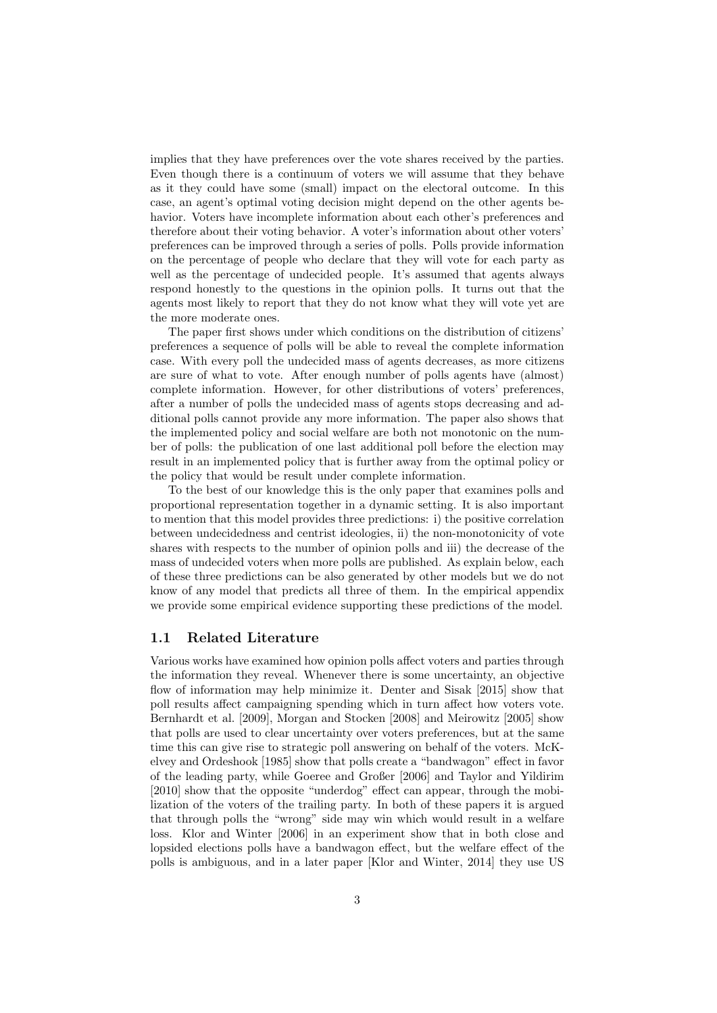implies that they have preferences over the vote shares received by the parties. Even though there is a continuum of voters we will assume that they behave as it they could have some (small) impact on the electoral outcome. In this case, an agent's optimal voting decision might depend on the other agents behavior. Voters have incomplete information about each other's preferences and therefore about their voting behavior. A voter's information about other voters' preferences can be improved through a series of polls. Polls provide information on the percentage of people who declare that they will vote for each party as well as the percentage of undecided people. It's assumed that agents always respond honestly to the questions in the opinion polls. It turns out that the agents most likely to report that they do not know what they will vote yet are the more moderate ones.

The paper first shows under which conditions on the distribution of citizens' preferences a sequence of polls will be able to reveal the complete information case. With every poll the undecided mass of agents decreases, as more citizens are sure of what to vote. After enough number of polls agents have (almost) complete information. However, for other distributions of voters' preferences, after a number of polls the undecided mass of agents stops decreasing and additional polls cannot provide any more information. The paper also shows that the implemented policy and social welfare are both not monotonic on the number of polls: the publication of one last additional poll before the election may result in an implemented policy that is further away from the optimal policy or the policy that would be result under complete information.

To the best of our knowledge this is the only paper that examines polls and proportional representation together in a dynamic setting. It is also important to mention that this model provides three predictions: i) the positive correlation between undecidedness and centrist ideologies, ii) the non-monotonicity of vote shares with respects to the number of opinion polls and iii) the decrease of the mass of undecided voters when more polls are published. As explain below, each of these three predictions can be also generated by other models but we do not know of any model that predicts all three of them. In the empirical appendix we provide some empirical evidence supporting these predictions of the model.

### 1.1 Related Literature

Various works have examined how opinion polls affect voters and parties through the information they reveal. Whenever there is some uncertainty, an objective flow of information may help minimize it. Denter and Sisak [2015] show that poll results affect campaigning spending which in turn affect how voters vote. Bernhardt et al. [2009], Morgan and Stocken [2008] and Meirowitz [2005] show that polls are used to clear uncertainty over voters preferences, but at the same time this can give rise to strategic poll answering on behalf of the voters. McKelvey and Ordeshook [1985] show that polls create a "bandwagon" effect in favor of the leading party, while Goeree and Großer [2006] and Taylor and Yildirim [2010] show that the opposite "underdog" effect can appear, through the mobilization of the voters of the trailing party. In both of these papers it is argued that through polls the "wrong" side may win which would result in a welfare loss. Klor and Winter [2006] in an experiment show that in both close and lopsided elections polls have a bandwagon effect, but the welfare effect of the polls is ambiguous, and in a later paper [Klor and Winter, 2014] they use US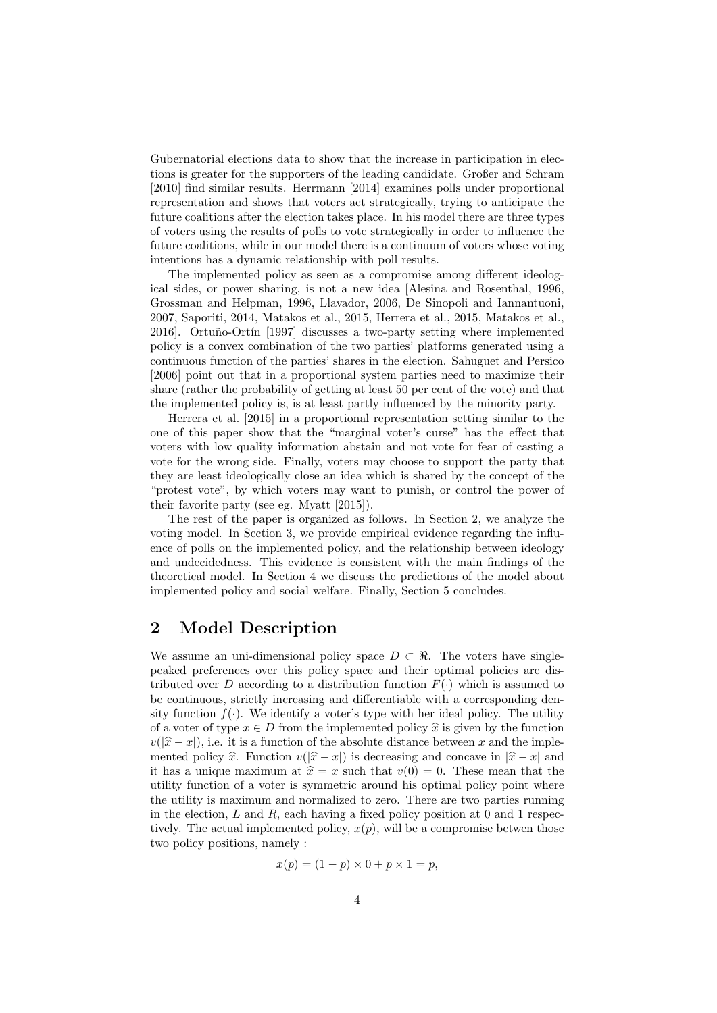Gubernatorial elections data to show that the increase in participation in elections is greater for the supporters of the leading candidate. Großer and Schram [2010] find similar results. Herrmann [2014] examines polls under proportional representation and shows that voters act strategically, trying to anticipate the future coalitions after the election takes place. In his model there are three types of voters using the results of polls to vote strategically in order to influence the future coalitions, while in our model there is a continuum of voters whose voting intentions has a dynamic relationship with poll results.

The implemented policy as seen as a compromise among different ideological sides, or power sharing, is not a new idea [Alesina and Rosenthal, 1996, Grossman and Helpman, 1996, Llavador, 2006, De Sinopoli and Iannantuoni, 2007, Saporiti, 2014, Matakos et al., 2015, Herrera et al., 2015, Matakos et al., 2016]. Ortuño-Ortín [1997] discusses a two-party setting where implemented policy is a convex combination of the two parties' platforms generated using a continuous function of the parties' shares in the election. Sahuguet and Persico [2006] point out that in a proportional system parties need to maximize their share (rather the probability of getting at least 50 per cent of the vote) and that the implemented policy is, is at least partly influenced by the minority party.

Herrera et al. [2015] in a proportional representation setting similar to the one of this paper show that the "marginal voter's curse" has the effect that voters with low quality information abstain and not vote for fear of casting a vote for the wrong side. Finally, voters may choose to support the party that they are least ideologically close an idea which is shared by the concept of the "protest vote", by which voters may want to punish, or control the power of their favorite party (see eg. Myatt [2015]).

The rest of the paper is organized as follows. In Section 2, we analyze the voting model. In Section 3, we provide empirical evidence regarding the influence of polls on the implemented policy, and the relationship between ideology and undecidedness. This evidence is consistent with the main findings of the theoretical model. In Section 4 we discuss the predictions of the model about implemented policy and social welfare. Finally, Section 5 concludes.

### 2 Model Description

We assume an uni-dimensional policy space  $D \subset \mathbb{R}$ . The voters have singlepeaked preferences over this policy space and their optimal policies are distributed over D according to a distribution function  $F(\cdot)$  which is assumed to be continuous, strictly increasing and differentiable with a corresponding density function  $f(\cdot)$ . We identify a voter's type with her ideal policy. The utility of a voter of type  $x \in D$  from the implemented policy  $\hat{x}$  is given by the function  $v(|\hat{x} - x|)$ , i.e. it is a function of the absolute distance between x and the implemented policy  $\hat{x}$ . Function  $v(|\hat{x} - x|)$  is decreasing and concave in  $|\hat{x} - x|$  and it has a unique maximum at  $\hat{x} = x$  such that  $v(0) = 0$ . These mean that the utility function of a voter is symmetric around his optimal policy point where the utility is maximum and normalized to zero. There are two parties running in the election,  $L$  and  $R$ , each having a fixed policy position at 0 and 1 respectively. The actual implemented policy,  $x(p)$ , will be a compromise betwen those two policy positions, namely :

$$
x(p) = (1 - p) \times 0 + p \times 1 = p,
$$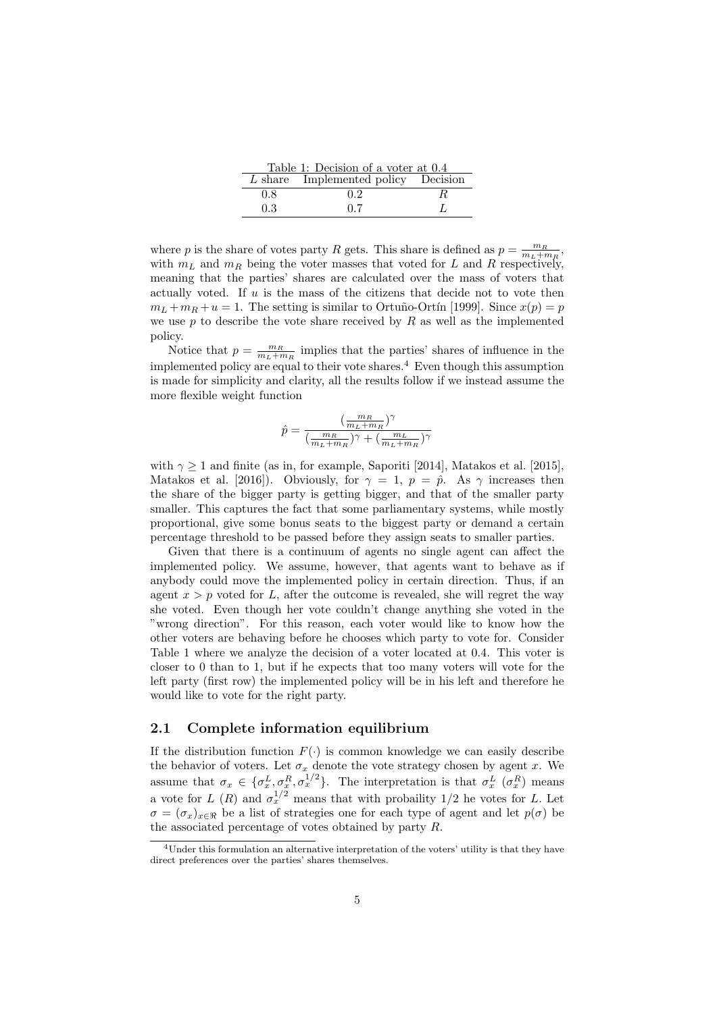| Table 1: Decision of a voter at 0.4 |                                     |    |  |  |  |  |
|-------------------------------------|-------------------------------------|----|--|--|--|--|
|                                     | L share Implemented policy Decision |    |  |  |  |  |
| 0.8                                 | 0.2                                 | К. |  |  |  |  |
| 0.3                                 | 0.7                                 |    |  |  |  |  |

where p is the share of votes party R gets. This share is defined as  $p = \frac{m_R}{m_L + m_R}$ , with  $m<sub>L</sub>$  and  $m<sub>R</sub>$  being the voter masses that voted for L and R respectively, meaning that the parties' shares are calculated over the mass of voters that actually voted. If  $u$  is the mass of the citizens that decide not to vote then  $m_L + m_R + u = 1$ . The setting is similar to Ortuño-Ortín [1999]. Since  $x(p) = p$ we use  $p$  to describe the vote share received by  $R$  as well as the implemented policy.

Notice that  $p = \frac{m_R}{m_L + m_R}$  implies that the parties' shares of influence in the implemented policy are equal to their vote shares.<sup>4</sup> Even though this assumption is made for simplicity and clarity, all the results follow if we instead assume the more flexible weight function

$$
\hat{p} = \frac{(\frac{m_R}{m_L+m_R})^\gamma}{(\frac{m_R}{m_L+m_R})^\gamma+(\frac{m_L}{m_L+m_R})^\gamma}
$$

with  $\gamma \geq 1$  and finite (as in, for example, Saporiti [2014], Matakos et al. [2015], Matakos et al. [2016]). Obviously, for  $\gamma = 1$ ,  $p = \hat{p}$ . As  $\gamma$  increases then the share of the bigger party is getting bigger, and that of the smaller party smaller. This captures the fact that some parliamentary systems, while mostly proportional, give some bonus seats to the biggest party or demand a certain percentage threshold to be passed before they assign seats to smaller parties.

Given that there is a continuum of agents no single agent can affect the implemented policy. We assume, however, that agents want to behave as if anybody could move the implemented policy in certain direction. Thus, if an agent  $x > p$  voted for L, after the outcome is revealed, she will regret the way she voted. Even though her vote couldn't change anything she voted in the "wrong direction". For this reason, each voter would like to know how the other voters are behaving before he chooses which party to vote for. Consider Table 1 where we analyze the decision of a voter located at 0.4. This voter is closer to 0 than to 1, but if he expects that too many voters will vote for the left party (first row) the implemented policy will be in his left and therefore he would like to vote for the right party.

#### 2.1 Complete information equilibrium

If the distribution function  $F(\cdot)$  is common knowledge we can easily describe the behavior of voters. Let  $\sigma_x$  denote the vote strategy chosen by agent x. We assume that  $\sigma_x \in {\{\sigma_x^L, \sigma_x^R, \sigma_x^{1/2}\}}$ . The interpretation is that  $\sigma_x^L$  ( $\sigma_x^R$ ) means a vote for L (R) and  $\sigma_x^{1/2}$  means that with probaility 1/2 he votes for L. Let  $\sigma = (\sigma_x)_{x \in \Re}$  be a list of strategies one for each type of agent and let  $p(\sigma)$  be the associated percentage of votes obtained by party R.

<sup>4</sup>Under this formulation an alternative interpretation of the voters' utility is that they have direct preferences over the parties' shares themselves.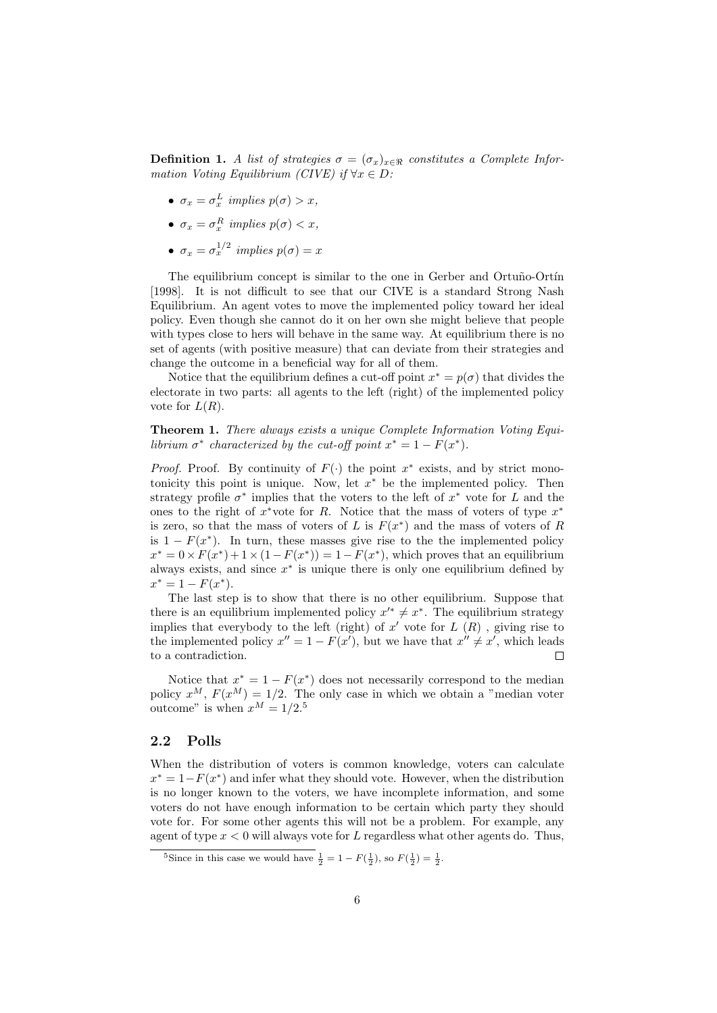**Definition 1.** A list of strategies  $\sigma = (\sigma_x)_{x \in \Re}$  constitutes a Complete Information Voting Equilibrium (CIVE) if  $\forall x \in D$ :

- $\sigma_x = \sigma_x^L$  implies  $p(\sigma) > x$ ,
- $\sigma_x = \sigma_x^R$  implies  $p(\sigma) < x$ ,
- $\sigma_x = \sigma_x^{1/2}$  implies  $p(\sigma) = x$

The equilibrium concept is similar to the one in Gerber and Ortuño-Ortín [1998]. It is not difficult to see that our CIVE is a standard Strong Nash Equilibrium. An agent votes to move the implemented policy toward her ideal policy. Even though she cannot do it on her own she might believe that people with types close to hers will behave in the same way. At equilibrium there is no set of agents (with positive measure) that can deviate from their strategies and change the outcome in a beneficial way for all of them.

Notice that the equilibrium defines a cut-off point  $x^* = p(\sigma)$  that divides the electorate in two parts: all agents to the left (right) of the implemented policy vote for  $L(R)$ .

Theorem 1. There always exists a unique Complete Information Voting Equilibrium  $\sigma^*$  characterized by the cut-off point  $x^* = 1 - F(x^*)$ .

*Proof.* Proof. By continuity of  $F(·)$  the point  $x^*$  exists, and by strict monotonicity this point is unique. Now, let  $x^*$  be the implemented policy. Then strategy profile  $\sigma^*$  implies that the voters to the left of  $x^*$  vote for L and the ones to the right of  $x^*$ vote for R. Notice that the mass of voters of type  $x^*$ is zero, so that the mass of voters of L is  $F(x^*)$  and the mass of voters of R is  $1 - F(x^*)$ . In turn, these masses give rise to the the implemented policy  $x^* = 0 \times F(x^*) + 1 \times (1 - F(x^*)) = 1 - F(x^*)$ , which proves that an equilibrium always exists, and since  $x^*$  is unique there is only one equilibrium defined by  $x^* = 1 - F(x^*).$ 

The last step is to show that there is no other equilibrium. Suppose that there is an equilibrium implemented policy  $x'^* \neq x^*$ . The equilibrium strategy implies that everybody to the left (right) of  $x'$  vote for  $L(R)$ , giving rise to the implemented policy  $x'' = 1 - F(x')$ , but we have that  $x'' \neq x'$ , which leads to a contradiction. П

Notice that  $x^* = 1 - F(x^*)$  does not necessarily correspond to the median policy  $x^M$ ,  $F(x^M) = 1/2$ . The only case in which we obtain a "median voter outcome" is when  $x^M = 1/2$ .<sup>5</sup>

#### 2.2 Polls

When the distribution of voters is common knowledge, voters can calculate  $x^* = 1 - F(x^*)$  and infer what they should vote. However, when the distribution is no longer known to the voters, we have incomplete information, and some voters do not have enough information to be certain which party they should vote for. For some other agents this will not be a problem. For example, any agent of type  $x < 0$  will always vote for L regardless what other agents do. Thus,

<sup>&</sup>lt;sup>5</sup>Since in this case we would have  $\frac{1}{2} = 1 - F(\frac{1}{2})$ , so  $F(\frac{1}{2}) = \frac{1}{2}$ .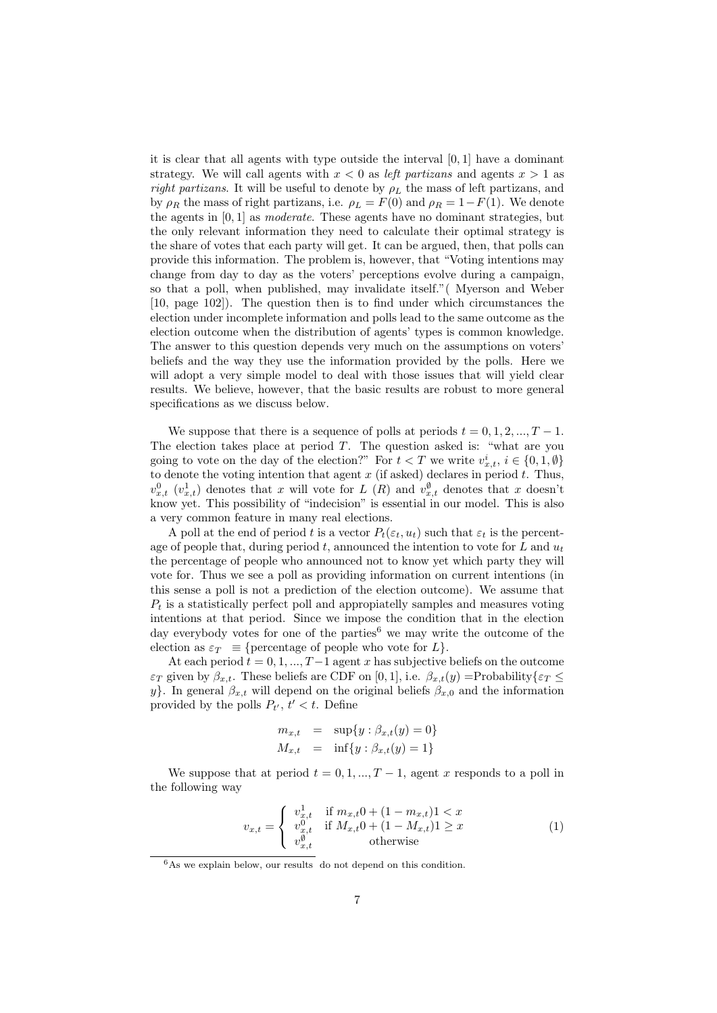it is clear that all agents with type outside the interval [0, 1] have a dominant strategy. We will call agents with  $x < 0$  as *left partizans* and agents  $x > 1$  as right partizans. It will be useful to denote by  $\rho_L$  the mass of left partizans, and by  $\rho_R$  the mass of right partizans, i.e.  $\rho_L = F(0)$  and  $\rho_R = 1 - F(1)$ . We denote the agents in [0, 1] as *moderate*. These agents have no dominant strategies, but the only relevant information they need to calculate their optimal strategy is the share of votes that each party will get. It can be argued, then, that polls can provide this information. The problem is, however, that "Voting intentions may change from day to day as the voters' perceptions evolve during a campaign, so that a poll, when published, may invalidate itself."( Myerson and Weber [10, page 102]). The question then is to find under which circumstances the election under incomplete information and polls lead to the same outcome as the election outcome when the distribution of agents' types is common knowledge. The answer to this question depends very much on the assumptions on voters' beliefs and the way they use the information provided by the polls. Here we will adopt a very simple model to deal with those issues that will yield clear results. We believe, however, that the basic results are robust to more general specifications as we discuss below.

We suppose that there is a sequence of polls at periods  $t = 0, 1, 2, ..., T - 1$ . The election takes place at period  $T$ . The question asked is: "what are you going to vote on the day of the election?" For  $t < T$  we write  $v^i_{x,t}$ ,  $i \in \{0,1,\emptyset\}$ to denote the voting intention that agent  $x$  (if asked) declares in period  $t$ . Thus,  $v_{x,t}^0$  ( $v_{x,t}^1$ ) denotes that x will vote for L (R) and  $v_{x,t}^{\emptyset}$  denotes that x doesn't know yet. This possibility of "indecision" is essential in our model. This is also a very common feature in many real elections.

A poll at the end of period t is a vector  $P_t(\varepsilon_t, u_t)$  such that  $\varepsilon_t$  is the percentage of people that, during period t, announced the intention to vote for L and  $u_t$ the percentage of people who announced not to know yet which party they will vote for. Thus we see a poll as providing information on current intentions (in this sense a poll is not a prediction of the election outcome). We assume that  $P_t$  is a statistically perfect poll and appropiatelly samples and measures voting intentions at that period. Since we impose the condition that in the election day everybody votes for one of the parties<sup>6</sup> we may write the outcome of the election as  $\varepsilon_T \equiv$  {percentage of people who vote for  $L$ }.

At each period  $t = 0, 1, ..., T-1$  agent x has subjective beliefs on the outcome  $\varepsilon_T$  given by  $\beta_{x,t}$ . These beliefs are CDF on [0, 1], i.e.  $\beta_{x,t}(y) = \text{Probability}\{\varepsilon_T \leq$ y}. In general  $\beta_{x,t}$  will depend on the original beliefs  $\beta_{x,0}$  and the information provided by the polls  $P_{t}$ ,  $t' < t$ . Define

$$
m_{x,t} = \sup\{y : \beta_{x,t}(y) = 0\}
$$
  

$$
M_{x,t} = \inf\{y : \beta_{x,t}(y) = 1\}
$$

We suppose that at period  $t = 0, 1, ..., T-1$ , agent x responds to a poll in the following way

$$
v_{x,t} = \begin{cases} v_{x,t}^1 & \text{if } m_{x,t}0 + (1 - m_{x,t})1 < x \\ v_{x,t}^0 & \text{if } M_{x,t}0 + (1 - M_{x,t})1 \ge x \\ v_{x,t}^0 & \text{otherwise} \end{cases} \tag{1}
$$

 $6$ As we explain below, our results do not depend on this condition.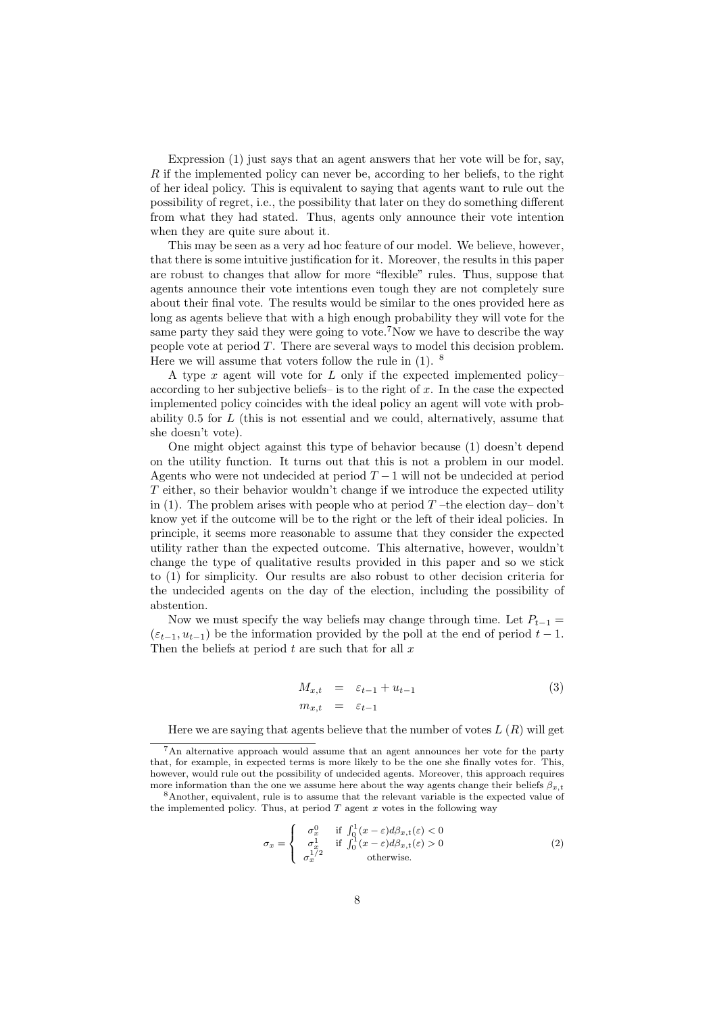Expression (1) just says that an agent answers that her vote will be for, say, R if the implemented policy can never be, according to her beliefs, to the right of her ideal policy. This is equivalent to saying that agents want to rule out the possibility of regret, i.e., the possibility that later on they do something different from what they had stated. Thus, agents only announce their vote intention when they are quite sure about it.

This may be seen as a very ad hoc feature of our model. We believe, however, that there is some intuitive justification for it. Moreover, the results in this paper are robust to changes that allow for more "flexible" rules. Thus, suppose that agents announce their vote intentions even tough they are not completely sure about their final vote. The results would be similar to the ones provided here as long as agents believe that with a high enough probability they will vote for the same party they said they were going to vote.<sup>7</sup>Now we have to describe the way people vote at period  $T$ . There are several ways to model this decision problem. Here we will assume that voters follow the rule in  $(1)$ . <sup>8</sup>

A type  $x$  agent will vote for  $L$  only if the expected implemented policyaccording to her subjective beliefs– is to the right of  $x$ . In the case the expected implemented policy coincides with the ideal policy an agent will vote with probability  $0.5$  for  $L$  (this is not essential and we could, alternatively, assume that she doesn't vote).

One might object against this type of behavior because (1) doesn't depend on the utility function. It turns out that this is not a problem in our model. Agents who were not undecided at period  $T-1$  will not be undecided at period T either, so their behavior wouldn't change if we introduce the expected utility in (1). The problem arises with people who at period  $T$  –the election day– don't know yet if the outcome will be to the right or the left of their ideal policies. In principle, it seems more reasonable to assume that they consider the expected utility rather than the expected outcome. This alternative, however, wouldn't change the type of qualitative results provided in this paper and so we stick to (1) for simplicity. Our results are also robust to other decision criteria for the undecided agents on the day of the election, including the possibility of abstention.

Now we must specify the way beliefs may change through time. Let  $P_{t-1} =$  $(\varepsilon_{t-1}, u_{t-1})$  be the information provided by the poll at the end of period  $t-1$ . Then the beliefs at period  $t$  are such that for all  $x$ 

$$
M_{x,t} = \varepsilon_{t-1} + u_{t-1}
$$
  
\n
$$
m_{x,t} = \varepsilon_{t-1}
$$
\n(3)

Here we are saying that agents believe that the number of votes  $L(R)$  will get

<sup>8</sup>Another, equivalent, rule is to assume that the relevant variable is the expected value of the implemented policy. Thus, at period  $T$  agent  $x$  votes in the following way

$$
\sigma_x = \begin{cases}\n\sigma_x^0 & \text{if } \int_0^1 (x - \varepsilon) d\beta_{x,t}(\varepsilon) < 0 \\
\sigma_x^1 & \text{if } \int_0^1 (x - \varepsilon) d\beta_{x,t}(\varepsilon) > 0 \\
\sigma_x^{1/2} & \text{otherwise.} \n\end{cases}
$$
\n(2)

<sup>7</sup>An alternative approach would assume that an agent announces her vote for the party that, for example, in expected terms is more likely to be the one she finally votes for. This, however, would rule out the possibility of undecided agents. Moreover, this approach requires more information than the one we assume here about the way agents change their beliefs  $\beta_{x,t}$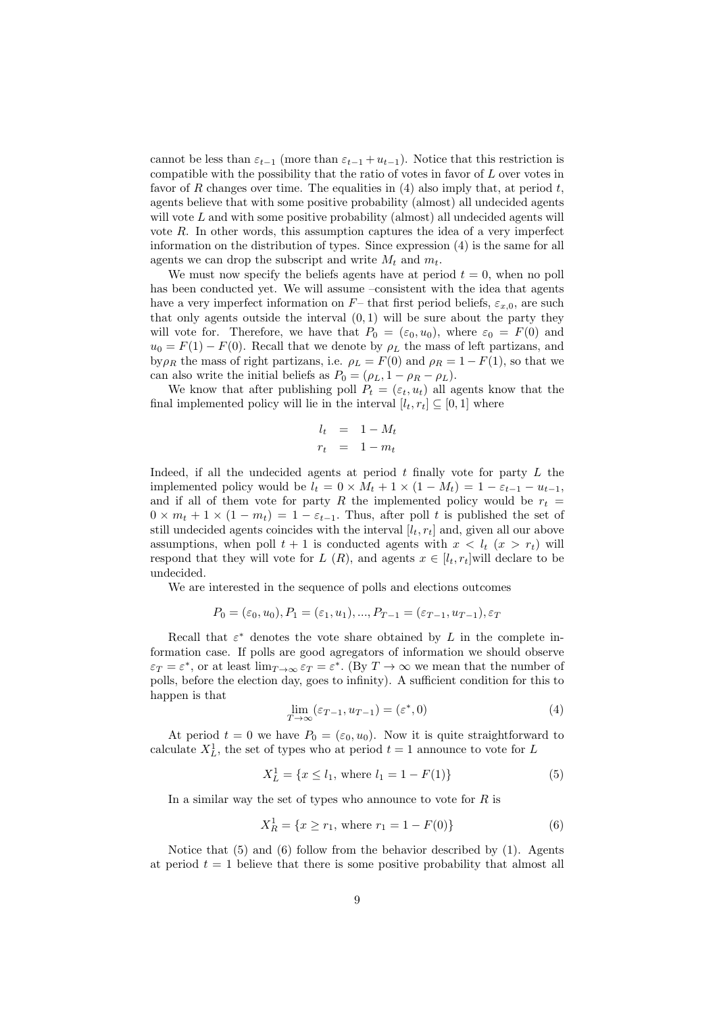cannot be less than  $\varepsilon_{t-1}$  (more than  $\varepsilon_{t-1} + u_{t-1}$ ). Notice that this restriction is compatible with the possibility that the ratio of votes in favor of L over votes in favor of R changes over time. The equalities in  $(4)$  also imply that, at period t, agents believe that with some positive probability (almost) all undecided agents will vote  $L$  and with some positive probability (almost) all undecided agents will vote  $R$ . In other words, this assumption captures the idea of a very imperfect information on the distribution of types. Since expression (4) is the same for all agents we can drop the subscript and write  $M_t$  and  $m_t$ .

We must now specify the beliefs agents have at period  $t = 0$ , when no poll has been conducted yet. We will assume –consistent with the idea that agents have a very imperfect information on  $F-$  that first period beliefs,  $\varepsilon_{x,0}$ , are such that only agents outside the interval  $(0, 1)$  will be sure about the party they will vote for. Therefore, we have that  $P_0 = (\varepsilon_0, u_0)$ , where  $\varepsilon_0 = F(0)$  and  $u_0 = F(1) - F(0)$ . Recall that we denote by  $\rho_L$  the mass of left partizans, and by  $\rho_R$  the mass of right partizans, i.e.  $\rho_L = F(0)$  and  $\rho_R = 1 - F(1)$ , so that we can also write the initial beliefs as  $P_0 = (\rho_L, 1 - \rho_R - \rho_L)$ .

We know that after publishing poll  $P_t = (\varepsilon_t, u_t)$  all agents know that the final implemented policy will lie in the interval  $[l_t, r_t] \subseteq [0, 1]$  where

$$
l_t = 1 - M_t
$$
  

$$
r_t = 1 - m_t
$$

Indeed, if all the undecided agents at period  $t$  finally vote for party  $L$  the implemented policy would be  $l_t = 0 \times M_t + 1 \times (1 - M_t) = 1 - \varepsilon_{t-1} - u_{t-1}$ , and if all of them vote for party R the implemented policy would be  $r_t =$  $0 \times m_t + 1 \times (1 - m_t) = 1 - \varepsilon_{t-1}$ . Thus, after poll t is published the set of still undecided agents coincides with the interval  $[l_t, r_t]$  and, given all our above assumptions, when poll  $t + 1$  is conducted agents with  $x < l_t$   $(x > r_t)$  will respond that they will vote for L  $(R)$ , and agents  $x \in [l_t, r_t]$  will declare to be undecided.

We are interested in the sequence of polls and elections outcomes

$$
P_0 = (\varepsilon_0, u_0), P_1 = (\varepsilon_1, u_1), ..., P_{T-1} = (\varepsilon_{T-1}, u_{T-1}), \varepsilon_T
$$

Recall that  $\varepsilon^*$  denotes the vote share obtained by L in the complete information case. If polls are good agregators of information we should observe  $\varepsilon_T = \varepsilon^*$ , or at least  $\lim_{T \to \infty} \varepsilon_T = \varepsilon^*$ . (By  $T \to \infty$  we mean that the number of polls, before the election day, goes to infinity). A sufficient condition for this to happen is that

$$
\lim_{T \to \infty} (\varepsilon_{T-1}, u_{T-1}) = (\varepsilon^*, 0)
$$
\n(4)

At period  $t = 0$  we have  $P_0 = (\varepsilon_0, u_0)$ . Now it is quite straightforward to calculate  $X^1_L$ , the set of types who at period  $t = 1$  announce to vote for L

$$
X_L^1 = \{ x \le l_1, \text{ where } l_1 = 1 - F(1) \}
$$
 (5)

In a similar way the set of types who announce to vote for  $R$  is

$$
X_R^1 = \{ x \ge r_1, \text{ where } r_1 = 1 - F(0) \}
$$
 (6)

Notice that (5) and (6) follow from the behavior described by (1). Agents at period  $t = 1$  believe that there is some positive probability that almost all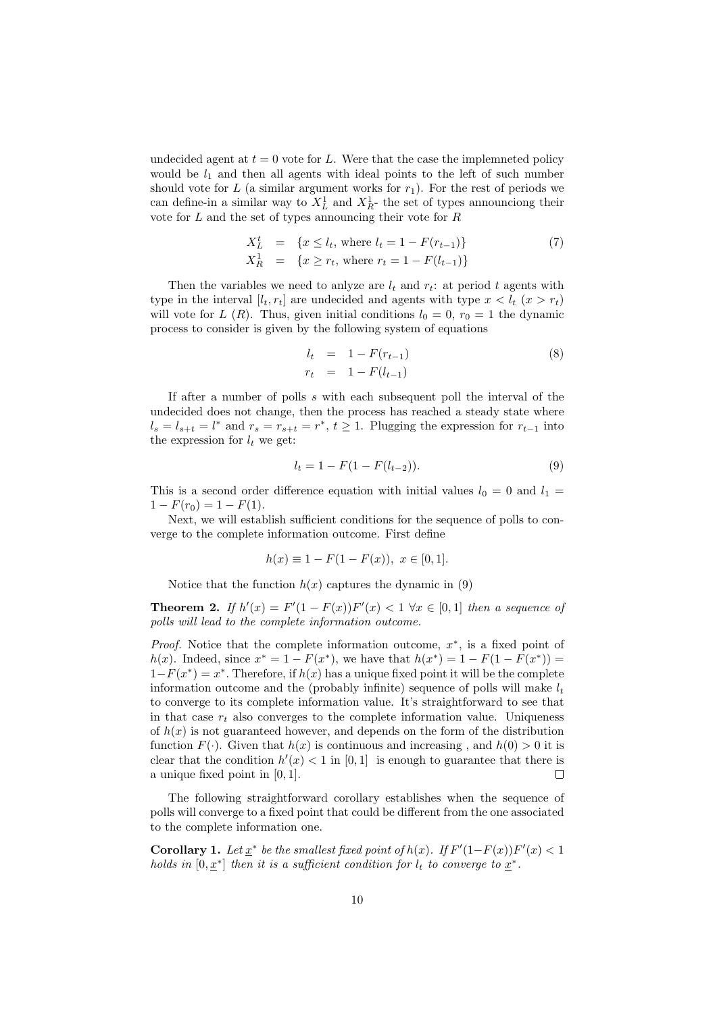undecided agent at  $t = 0$  vote for L. Were that the case the implemneted policy would be  $l_1$  and then all agents with ideal points to the left of such number should vote for L (a similar argument works for  $r_1$ ). For the rest of periods we can define-in a similar way to  $X_L^1$  and  $X_R^1$ - the set of types announciong their vote for  $L$  and the set of types announcing their vote for  $R$ 

$$
X_L^t = \{x \le l_t, \text{ where } l_t = 1 - F(r_{t-1})\}
$$
  
\n
$$
X_R^1 = \{x \ge r_t, \text{ where } r_t = 1 - F(l_{t-1})\}
$$
\n(7)

Then the variables we need to anlyze are  $l_t$  and  $r_t$ : at period t agents with type in the interval  $[l_t, r_t]$  are undecided and agents with type  $x < l_t$   $(x > r_t)$ will vote for L (R). Thus, given initial conditions  $l_0 = 0$ ,  $r_0 = 1$  the dynamic process to consider is given by the following system of equations

$$
l_t = 1 - F(r_{t-1})
$$
  
\n
$$
r_t = 1 - F(l_{t-1})
$$
\n(8)

If after a number of polls s with each subsequent poll the interval of the undecided does not change, then the process has reached a steady state where  $l_s = l_{s+t} = l^*$  and  $r_s = r_{s+t} = r^*$ ,  $t \geq 1$ . Plugging the expression for  $r_{t-1}$  into the expression for  $l_t$  we get:

$$
l_t = 1 - F(1 - F(l_{t-2})).
$$
\n(9)

This is a second order difference equation with initial values  $l_0 = 0$  and  $l_1 =$  $1 - F(r_0) = 1 - F(1).$ 

Next, we will establish sufficient conditions for the sequence of polls to converge to the complete information outcome. First define

$$
h(x) \equiv 1 - F(1 - F(x)), \ x \in [0, 1].
$$

Notice that the function  $h(x)$  captures the dynamic in (9)

**Theorem 2.** If  $h'(x) = F'(1 - F(x))F'(x) < 1 \ \forall x \in [0,1]$  then a sequence of polls will lead to the complete information outcome.

*Proof.* Notice that the complete information outcome,  $x^*$ , is a fixed point of *h*(*x*). Indeed, since  $x^* = 1 - F(x^*)$ , we have that  $h(x^*) = 1 - F(1 - F(x^*)) =$  $1-F(x^*)=x^*$ . Therefore, if  $h(x)$  has a unique fixed point it will be the complete information outcome and the (probably infinite) sequence of polls will make  $l_t$ to converge to its complete information value. It's straightforward to see that in that case  $r_t$  also converges to the complete information value. Uniqueness of  $h(x)$  is not guaranteed however, and depends on the form of the distribution function  $F(\cdot)$ . Given that  $h(x)$  is continuous and increasing, and  $h(0) > 0$  it is clear that the condition  $h'(x) < 1$  in [0,1] is enough to guarantee that there is  $\Box$ a unique fixed point in [0, 1].

The following straightforward corollary establishes when the sequence of polls will converge to a fixed point that could be different from the one associated to the complete information one.

**Corollary 1.** Let  $\underline{x}^*$  be the smallest fixed point of  $h(x)$ . If  $F'(1-F(x))F'(x) < 1$ holds in  $[0, \underline{x}^*]$  then it is a sufficient condition for  $l_t$  to converge to  $\underline{x}^*$ .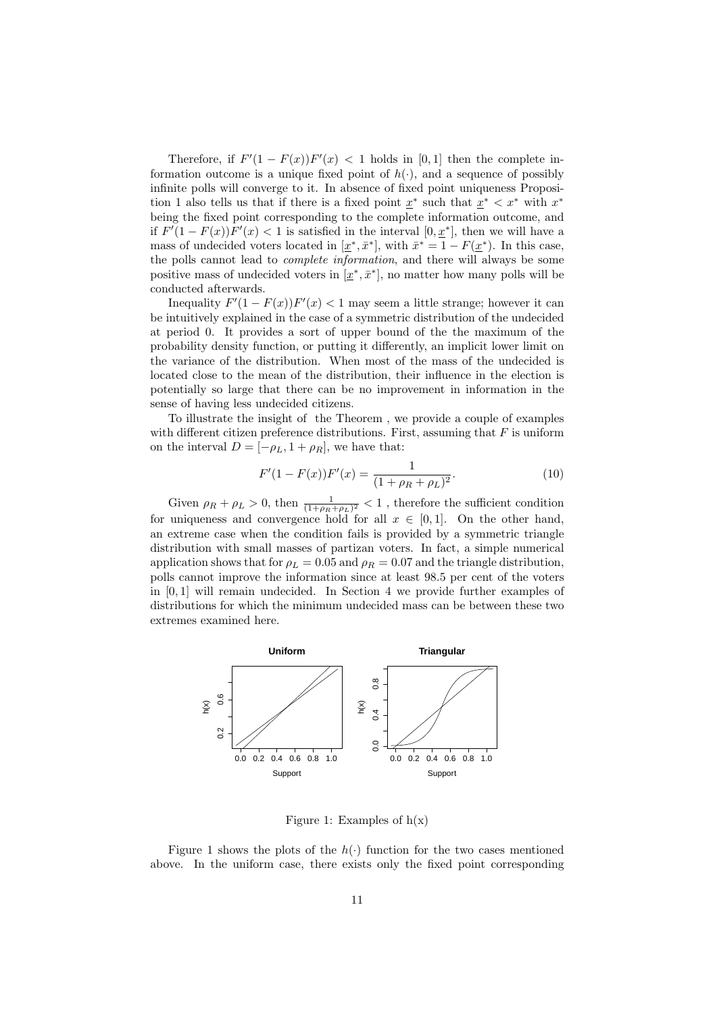Therefore, if  $F'(1 - F(x))F'(x) < 1$  holds in [0,1] then the complete information outcome is a unique fixed point of  $h(\cdot)$ , and a sequence of possibly infinite polls will converge to it. In absence of fixed point uniqueness Proposition 1 also tells us that if there is a fixed point  $\underline{x}^*$  such that  $\underline{x}^* < x^*$  with  $x^*$ being the fixed point corresponding to the complete information outcome, and if  $F'(1 - F(x))F'(x) < 1$  is satisfied in the interval  $[0, \underline{x}^*]$ , then we will have a mass of undecided voters located in  $[\underline{x}^*, \overline{x}^*]$ , with  $\overline{x}^* = 1 - F(\underline{x}^*)$ . In this case, the polls cannot lead to *complete information*, and there will always be some positive mass of undecided voters in  $[\underline{x}^*, \overline{x}^*]$ , no matter how many polls will be conducted afterwards.

Inequality  $F'(1 - F(x))F'(x) < 1$  may seem a little strange; however it can be intuitively explained in the case of a symmetric distribution of the undecided at period 0. It provides a sort of upper bound of the the maximum of the probability density function, or putting it differently, an implicit lower limit on the variance of the distribution. When most of the mass of the undecided is located close to the mean of the distribution, their influence in the election is potentially so large that there can be no improvement in information in the sense of having less undecided citizens.

To illustrate the insight of the Theorem , we provide a couple of examples with different citizen preference distributions. First, assuming that  $F$  is uniform on the interval  $D = [-\rho_L, 1 + \rho_R]$ , we have that:

$$
F'(1 - F(x))F'(x) = \frac{1}{(1 + \rho_R + \rho_L)^2}.
$$
\n(10)

Given  $\rho_R + \rho_L > 0$ , then  $\frac{1}{(1+\rho_R+\rho_L)^2} < 1$ , therefore the sufficient condition for uniqueness and convergence hold for all  $x \in [0,1]$ . On the other hand, an extreme case when the condition fails is provided by a symmetric triangle distribution with small masses of partizan voters. In fact, a simple numerical application shows that for  $\rho_L = 0.05$  and  $\rho_R = 0.07$  and the triangle distribution, polls cannot improve the information since at least 98.5 per cent of the voters in [0, 1] will remain undecided. In Section 4 we provide further examples of distributions for which the minimum undecided mass can be between these two extremes examined here.



Figure 1: Examples of  $h(x)$ 

Figure 1 shows the plots of the  $h(\cdot)$  function for the two cases mentioned above. In the uniform case, there exists only the fixed point corresponding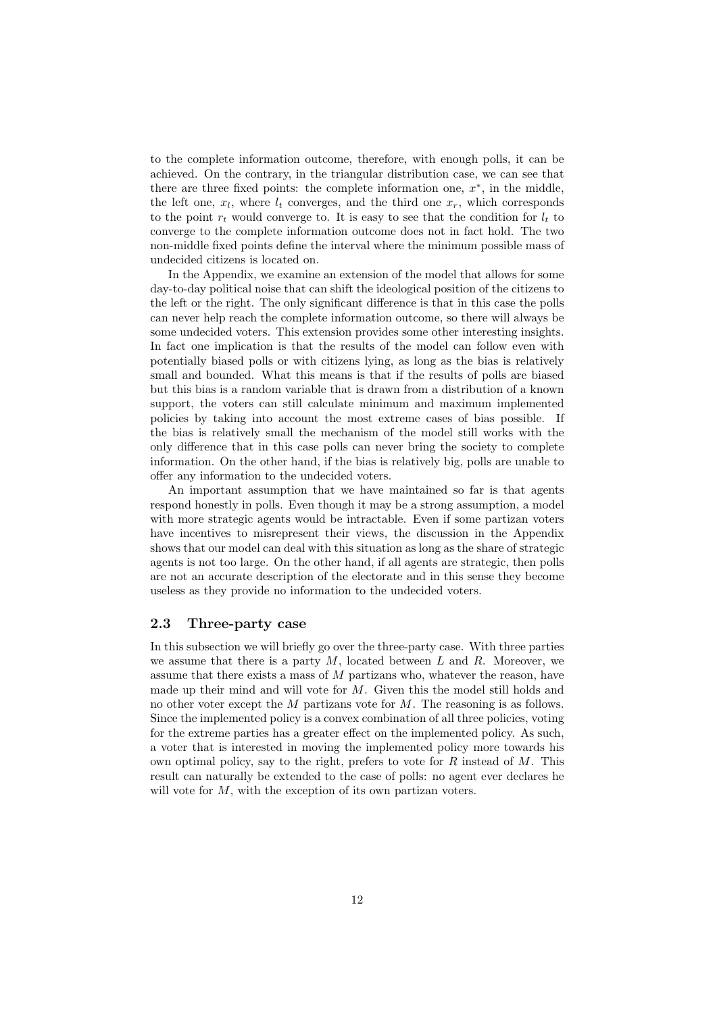to the complete information outcome, therefore, with enough polls, it can be achieved. On the contrary, in the triangular distribution case, we can see that there are three fixed points: the complete information one,  $x^*$ , in the middle, the left one,  $x_l$ , where  $l_t$  converges, and the third one  $x_r$ , which corresponds to the point  $r_t$  would converge to. It is easy to see that the condition for  $l_t$  to converge to the complete information outcome does not in fact hold. The two non-middle fixed points define the interval where the minimum possible mass of undecided citizens is located on.

In the Appendix, we examine an extension of the model that allows for some day-to-day political noise that can shift the ideological position of the citizens to the left or the right. The only significant difference is that in this case the polls can never help reach the complete information outcome, so there will always be some undecided voters. This extension provides some other interesting insights. In fact one implication is that the results of the model can follow even with potentially biased polls or with citizens lying, as long as the bias is relatively small and bounded. What this means is that if the results of polls are biased but this bias is a random variable that is drawn from a distribution of a known support, the voters can still calculate minimum and maximum implemented policies by taking into account the most extreme cases of bias possible. If the bias is relatively small the mechanism of the model still works with the only difference that in this case polls can never bring the society to complete information. On the other hand, if the bias is relatively big, polls are unable to offer any information to the undecided voters.

An important assumption that we have maintained so far is that agents respond honestly in polls. Even though it may be a strong assumption, a model with more strategic agents would be intractable. Even if some partizan voters have incentives to misrepresent their views, the discussion in the Appendix shows that our model can deal with this situation as long as the share of strategic agents is not too large. On the other hand, if all agents are strategic, then polls are not an accurate description of the electorate and in this sense they become useless as they provide no information to the undecided voters.

### 2.3 Three-party case

In this subsection we will briefly go over the three-party case. With three parties we assume that there is a party  $M$ , located between  $L$  and  $R$ . Moreover, we assume that there exists a mass of  $M$  partizans who, whatever the reason, have made up their mind and will vote for  $M$ . Given this the model still holds and no other voter except the M partizans vote for M. The reasoning is as follows. Since the implemented policy is a convex combination of all three policies, voting for the extreme parties has a greater effect on the implemented policy. As such, a voter that is interested in moving the implemented policy more towards his own optimal policy, say to the right, prefers to vote for  $R$  instead of  $M$ . This result can naturally be extended to the case of polls: no agent ever declares he will vote for  $M$ , with the exception of its own partizan voters.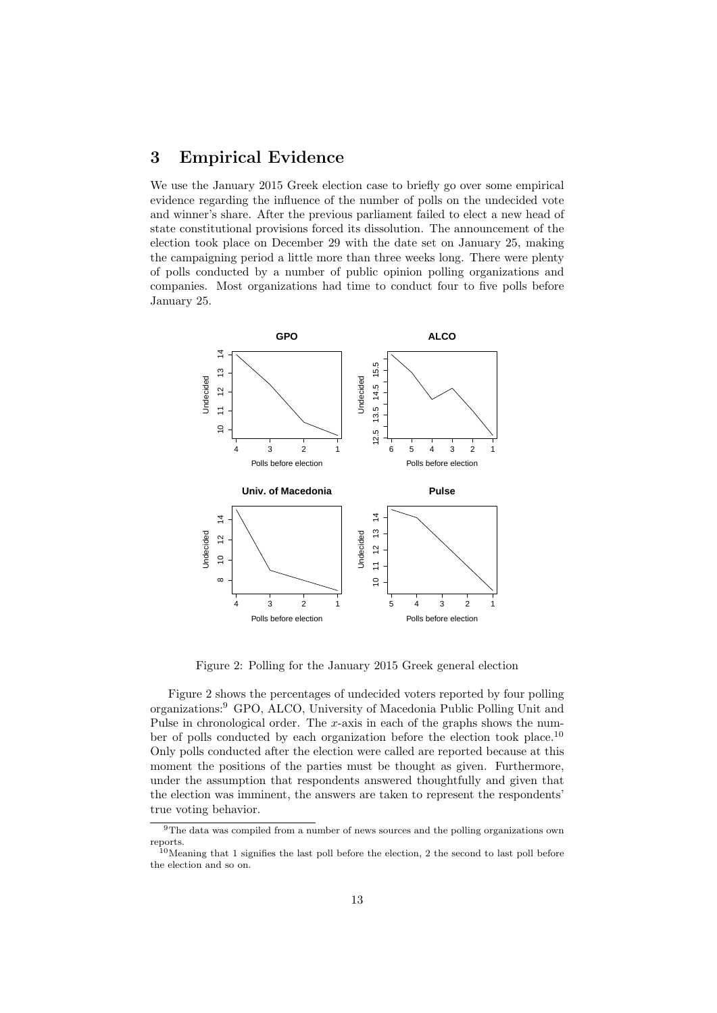## 3 Empirical Evidence

We use the January 2015 Greek election case to briefly go over some empirical evidence regarding the influence of the number of polls on the undecided vote and winner's share. After the previous parliament failed to elect a new head of state constitutional provisions forced its dissolution. The announcement of the election took place on December 29 with the date set on January 25, making the campaigning period a little more than three weeks long. There were plenty of polls conducted by a number of public opinion polling organizations and companies. Most organizations had time to conduct four to five polls before January 25.



Figure 2: Polling for the January 2015 Greek general election

Figure 2 shows the percentages of undecided voters reported by four polling organizations:<sup>9</sup> GPO, ALCO, University of Macedonia Public Polling Unit and Pulse in chronological order. The  $x$ -axis in each of the graphs shows the number of polls conducted by each organization before the election took place.<sup>10</sup> Only polls conducted after the election were called are reported because at this moment the positions of the parties must be thought as given. Furthermore, under the assumption that respondents answered thoughtfully and given that the election was imminent, the answers are taken to represent the respondents' true voting behavior.

<sup>9</sup>The data was compiled from a number of news sources and the polling organizations own reports.

 $10$ Meaning that 1 signifies the last poll before the election, 2 the second to last poll before the election and so on.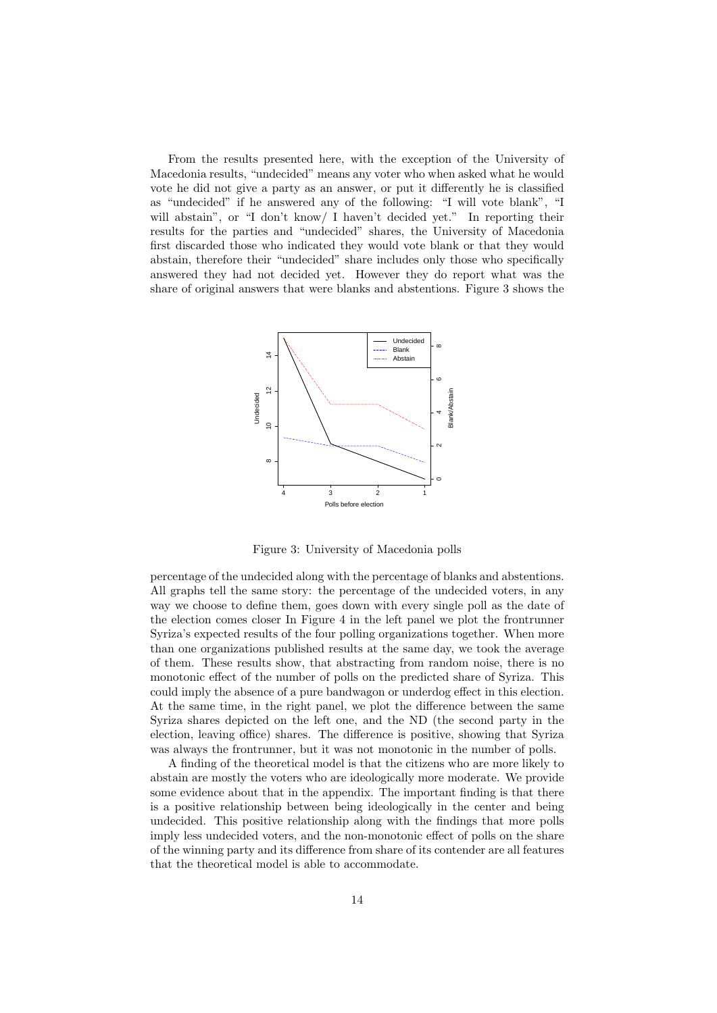From the results presented here, with the exception of the University of Macedonia results, "undecided" means any voter who when asked what he would vote he did not give a party as an answer, or put it differently he is classified as "undecided" if he answered any of the following: "I will vote blank", "I will abstain", or "I don't know/ I haven't decided yet." In reporting their results for the parties and "undecided" shares, the University of Macedonia first discarded those who indicated they would vote blank or that they would abstain, therefore their "undecided" share includes only those who specifically answered they had not decided yet. However they do report what was the share of original answers that were blanks and abstentions. Figure 3 shows the



Figure 3: University of Macedonia polls

percentage of the undecided along with the percentage of blanks and abstentions. All graphs tell the same story: the percentage of the undecided voters, in any way we choose to define them, goes down with every single poll as the date of the election comes closer In Figure 4 in the left panel we plot the frontrunner Syriza's expected results of the four polling organizations together. When more than one organizations published results at the same day, we took the average of them. These results show, that abstracting from random noise, there is no monotonic effect of the number of polls on the predicted share of Syriza. This could imply the absence of a pure bandwagon or underdog effect in this election. At the same time, in the right panel, we plot the difference between the same Syriza shares depicted on the left one, and the ND (the second party in the election, leaving office) shares. The difference is positive, showing that Syriza was always the frontrunner, but it was not monotonic in the number of polls.

A finding of the theoretical model is that the citizens who are more likely to abstain are mostly the voters who are ideologically more moderate. We provide some evidence about that in the appendix. The important finding is that there is a positive relationship between being ideologically in the center and being undecided. This positive relationship along with the findings that more polls imply less undecided voters, and the non-monotonic effect of polls on the share of the winning party and its difference from share of its contender are all features that the theoretical model is able to accommodate.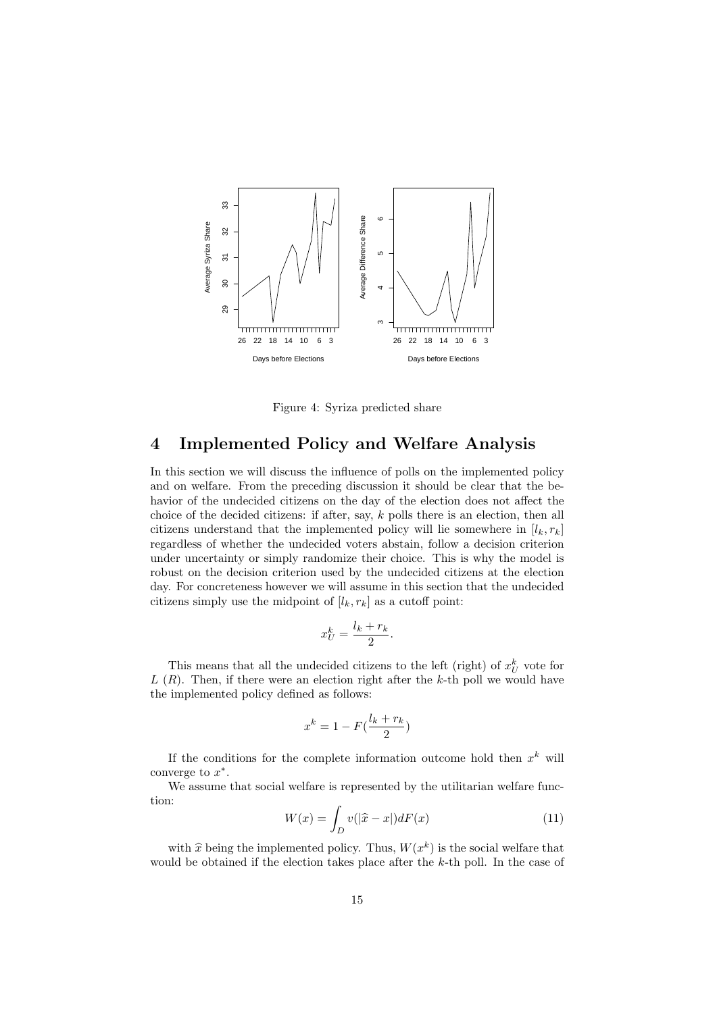

Figure 4: Syriza predicted share

# 4 Implemented Policy and Welfare Analysis

In this section we will discuss the influence of polls on the implemented policy and on welfare. From the preceding discussion it should be clear that the behavior of the undecided citizens on the day of the election does not affect the choice of the decided citizens: if after, say, k polls there is an election, then all citizens understand that the implemented policy will lie somewhere in  $[l_k, r_k]$ regardless of whether the undecided voters abstain, follow a decision criterion under uncertainty or simply randomize their choice. This is why the model is robust on the decision criterion used by the undecided citizens at the election day. For concreteness however we will assume in this section that the undecided citizens simply use the midpoint of  $[l_k, r_k]$  as a cutoff point:

$$
x_U^k = \frac{l_k + r_k}{2}.
$$

This means that all the undecided citizens to the left (right) of  $x_U^k$  vote for  $L(R)$ . Then, if there were an election right after the k-th poll we would have the implemented policy defined as follows:

$$
x^k = 1 - F(\frac{l_k + r_k}{2})
$$

If the conditions for the complete information outcome hold then  $x^k$  will converge to  $x^*$ .

We assume that social welfare is represented by the utilitarian welfare function:

$$
W(x) = \int_{D} v(|\hat{x} - x|)dF(x)
$$
\n(11)

with  $\hat{x}$  being the implemented policy. Thus,  $W(x^k)$  is the social welfare that well be obtained if the election takes place of or the k th poll. In the case of would be obtained if the election takes place after the  $k$ -th poll. In the case of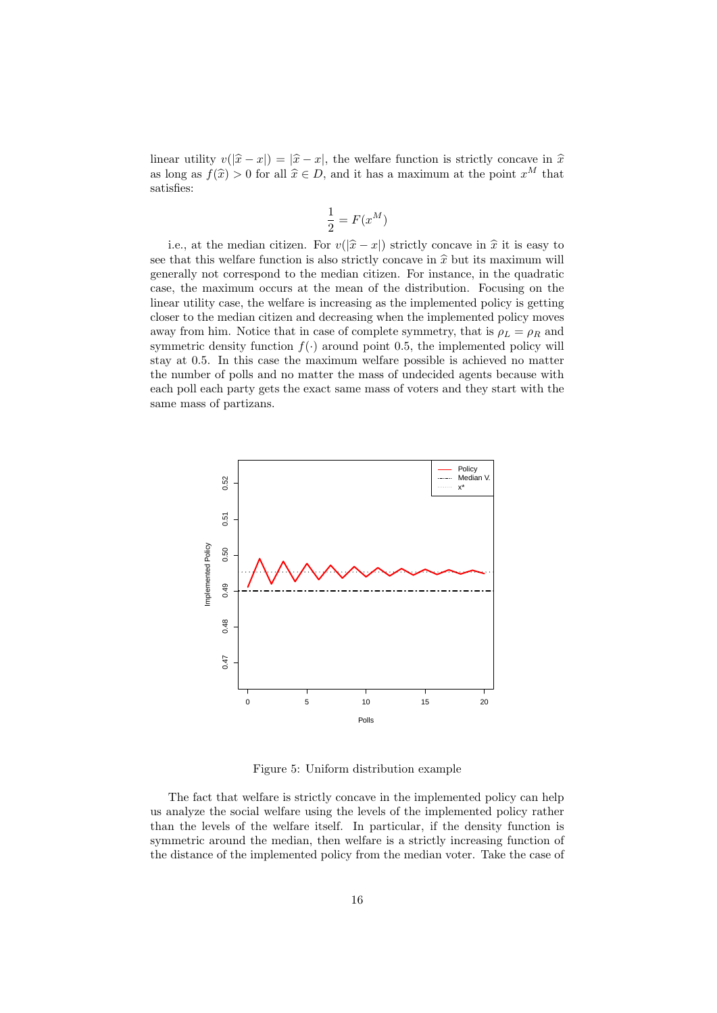linear utility  $v(|\hat{x} - x|) = |\hat{x} - x|$ , the welfare function is strictly concave in  $\hat{x}$ as long as  $f(\hat{x}) > 0$  for all  $\hat{x} \in D$ , and it has a maximum at the point  $x^M$  that satisfies:

$$
\frac{1}{2} = F(x^M)
$$

i.e., at the median citizen. For  $v(|\hat{x} - x|)$  strictly concave in  $\hat{x}$  it is easy to see that this welfare function is also strictly concave in  $\hat{x}$  but its maximum will generally not correspond to the median citizen. For instance, in the quadratic case, the maximum occurs at the mean of the distribution. Focusing on the linear utility case, the welfare is increasing as the implemented policy is getting closer to the median citizen and decreasing when the implemented policy moves away from him. Notice that in case of complete symmetry, that is  $\rho_L = \rho_R$  and symmetric density function  $f(\cdot)$  around point 0.5, the implemented policy will stay at 0.5. In this case the maximum welfare possible is achieved no matter the number of polls and no matter the mass of undecided agents because with each poll each party gets the exact same mass of voters and they start with the same mass of partizans.



Figure 5: Uniform distribution example

The fact that welfare is strictly concave in the implemented policy can help us analyze the social welfare using the levels of the implemented policy rather than the levels of the welfare itself. In particular, if the density function is symmetric around the median, then welfare is a strictly increasing function of the distance of the implemented policy from the median voter. Take the case of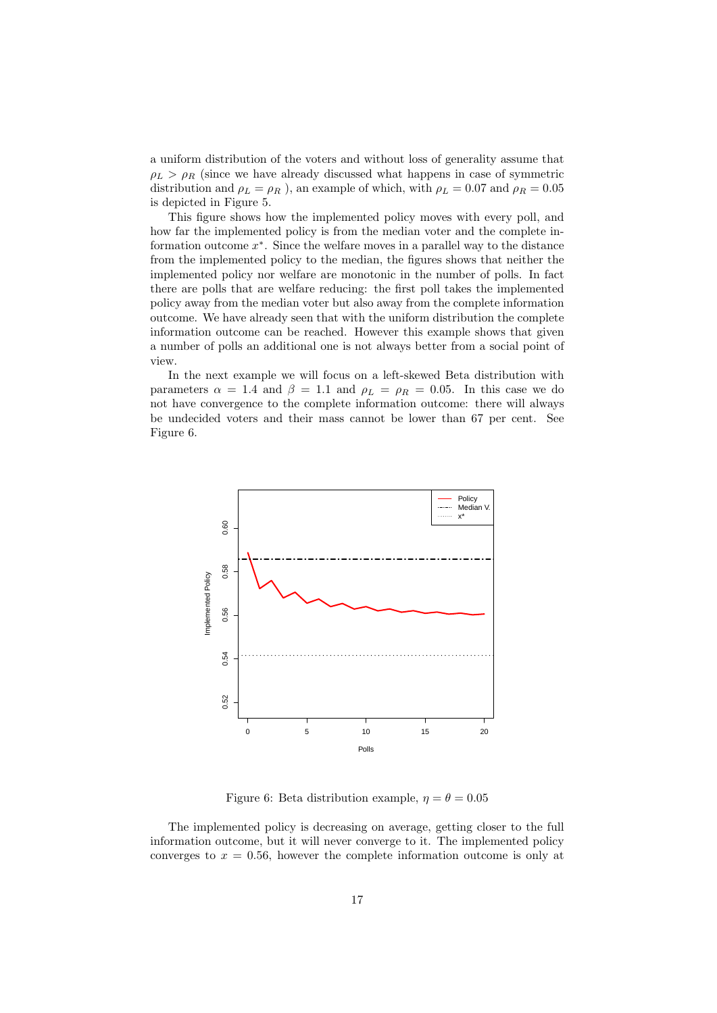a uniform distribution of the voters and without loss of generality assume that  $\rho_L > \rho_R$  (since we have already discussed what happens in case of symmetric distribution and  $\rho_L = \rho_R$ ), an example of which, with  $\rho_L = 0.07$  and  $\rho_R = 0.05$ is depicted in Figure 5.

This figure shows how the implemented policy moves with every poll, and how far the implemented policy is from the median voter and the complete information outcome  $x^*$ . Since the welfare moves in a parallel way to the distance from the implemented policy to the median, the figures shows that neither the implemented policy nor welfare are monotonic in the number of polls. In fact there are polls that are welfare reducing: the first poll takes the implemented policy away from the median voter but also away from the complete information outcome. We have already seen that with the uniform distribution the complete information outcome can be reached. However this example shows that given a number of polls an additional one is not always better from a social point of view.

In the next example we will focus on a left-skewed Beta distribution with parameters  $\alpha = 1.4$  and  $\beta = 1.1$  and  $\rho_L = \rho_R = 0.05$ . In this case we do not have convergence to the complete information outcome: there will always be undecided voters and their mass cannot be lower than 67 per cent. See Figure 6.



Figure 6: Beta distribution example,  $\eta = \theta = 0.05$ 

The implemented policy is decreasing on average, getting closer to the full information outcome, but it will never converge to it. The implemented policy converges to  $x = 0.56$ , however the complete information outcome is only at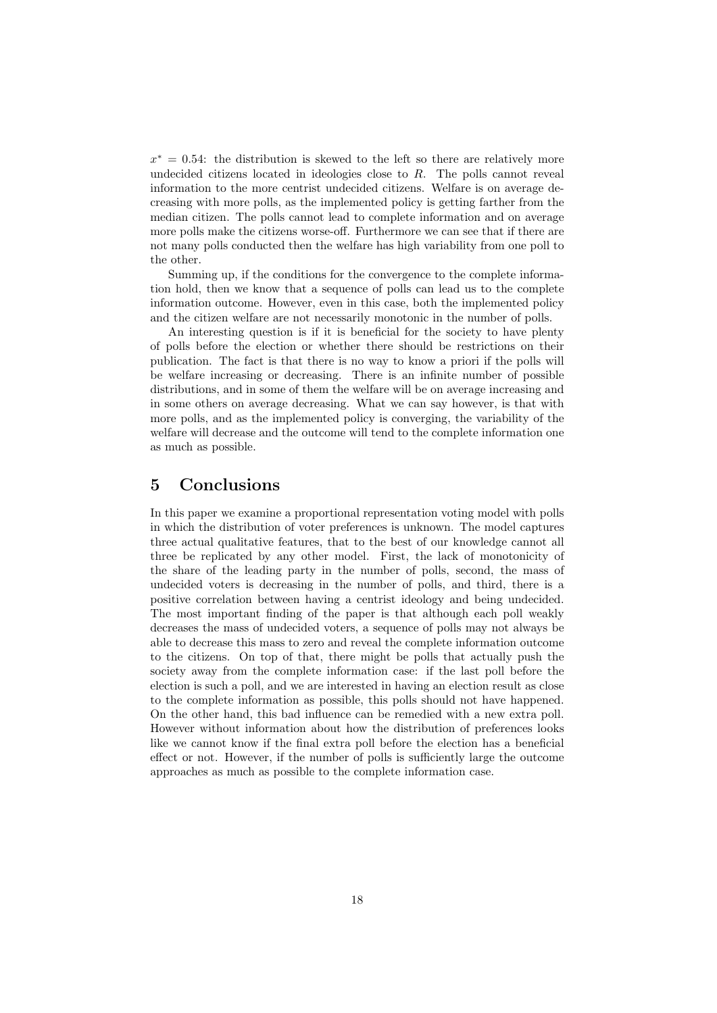$x^* = 0.54$ : the distribution is skewed to the left so there are relatively more undecided citizens located in ideologies close to  $R$ . The polls cannot reveal information to the more centrist undecided citizens. Welfare is on average decreasing with more polls, as the implemented policy is getting farther from the median citizen. The polls cannot lead to complete information and on average more polls make the citizens worse-off. Furthermore we can see that if there are not many polls conducted then the welfare has high variability from one poll to the other.

Summing up, if the conditions for the convergence to the complete information hold, then we know that a sequence of polls can lead us to the complete information outcome. However, even in this case, both the implemented policy and the citizen welfare are not necessarily monotonic in the number of polls.

An interesting question is if it is beneficial for the society to have plenty of polls before the election or whether there should be restrictions on their publication. The fact is that there is no way to know a priori if the polls will be welfare increasing or decreasing. There is an infinite number of possible distributions, and in some of them the welfare will be on average increasing and in some others on average decreasing. What we can say however, is that with more polls, and as the implemented policy is converging, the variability of the welfare will decrease and the outcome will tend to the complete information one as much as possible.

### 5 Conclusions

In this paper we examine a proportional representation voting model with polls in which the distribution of voter preferences is unknown. The model captures three actual qualitative features, that to the best of our knowledge cannot all three be replicated by any other model. First, the lack of monotonicity of the share of the leading party in the number of polls, second, the mass of undecided voters is decreasing in the number of polls, and third, there is a positive correlation between having a centrist ideology and being undecided. The most important finding of the paper is that although each poll weakly decreases the mass of undecided voters, a sequence of polls may not always be able to decrease this mass to zero and reveal the complete information outcome to the citizens. On top of that, there might be polls that actually push the society away from the complete information case: if the last poll before the election is such a poll, and we are interested in having an election result as close to the complete information as possible, this polls should not have happened. On the other hand, this bad influence can be remedied with a new extra poll. However without information about how the distribution of preferences looks like we cannot know if the final extra poll before the election has a beneficial effect or not. However, if the number of polls is sufficiently large the outcome approaches as much as possible to the complete information case.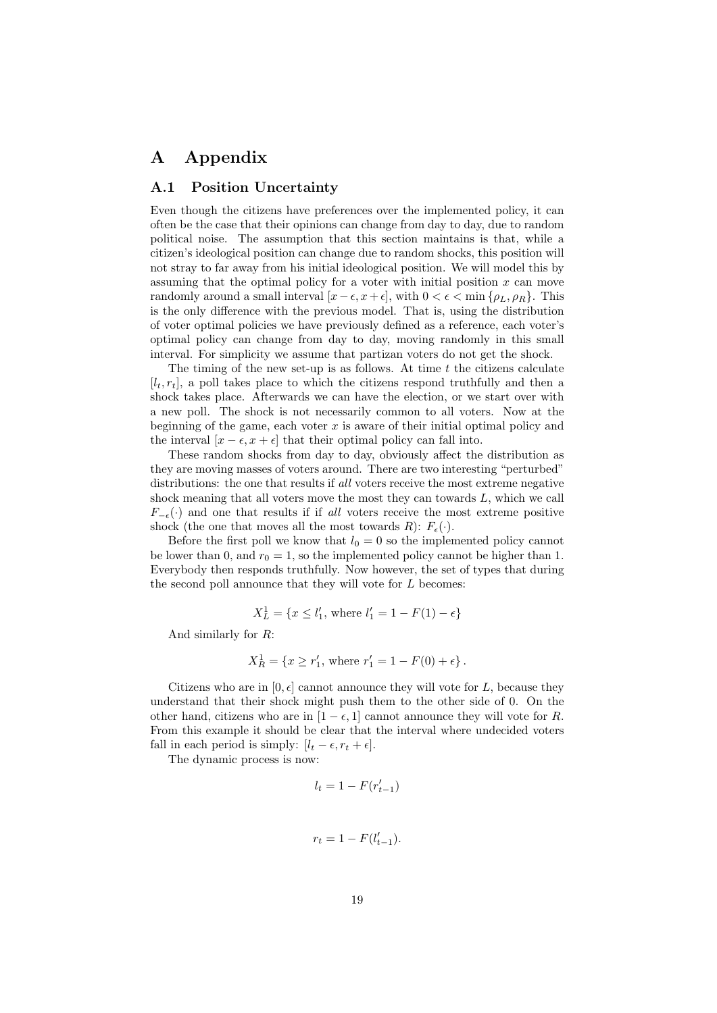# A Appendix

### A.1 Position Uncertainty

Even though the citizens have preferences over the implemented policy, it can often be the case that their opinions can change from day to day, due to random political noise. The assumption that this section maintains is that, while a citizen's ideological position can change due to random shocks, this position will not stray to far away from his initial ideological position. We will model this by assuming that the optimal policy for a voter with initial position  $x$  can move randomly around a small interval  $[x-\epsilon, x+\epsilon]$ , with  $0 < \epsilon < \min\{\rho_L, \rho_R\}$ . This is the only difference with the previous model. That is, using the distribution of voter optimal policies we have previously defined as a reference, each voter's optimal policy can change from day to day, moving randomly in this small interval. For simplicity we assume that partizan voters do not get the shock.

The timing of the new set-up is as follows. At time  $t$  the citizens calculate  $[l_t, r_t]$ , a poll takes place to which the citizens respond truthfully and then a shock takes place. Afterwards we can have the election, or we start over with a new poll. The shock is not necessarily common to all voters. Now at the beginning of the game, each voter  $x$  is aware of their initial optimal policy and the interval  $[x - \epsilon, x + \epsilon]$  that their optimal policy can fall into.

These random shocks from day to day, obviously affect the distribution as they are moving masses of voters around. There are two interesting "perturbed" distributions: the one that results if all voters receive the most extreme negative shock meaning that all voters move the most they can towards  $L$ , which we call  $F_{-\epsilon}(\cdot)$  and one that results if if all voters receive the most extreme positive shock (the one that moves all the most towards R):  $F_{\epsilon}(\cdot)$ .

Before the first poll we know that  $l_0 = 0$  so the implemented policy cannot be lower than 0, and  $r_0 = 1$ , so the implemented policy cannot be higher than 1. Everybody then responds truthfully. Now however, the set of types that during the second poll announce that they will vote for  $L$  becomes:

$$
X_L^1 = \{ x \le l_1', \text{ where } l_1' = 1 - F(1) - \epsilon \}
$$

And similarly for R:

$$
X_R^1 = \{x \ge r'_1, \text{ where } r'_1 = 1 - F(0) + \epsilon\}.
$$

Citizens who are in  $[0, \epsilon]$  cannot announce they will vote for L, because they understand that their shock might push them to the other side of 0. On the other hand, citizens who are in  $[1 - \epsilon, 1]$  cannot announce they will vote for R. From this example it should be clear that the interval where undecided voters fall in each period is simply:  $[l_t - \epsilon, r_t + \epsilon]$ .

The dynamic process is now:

$$
l_t = 1 - F(r'_{t-1})
$$

$$
r_t = 1 - F(l'_{t-1}).
$$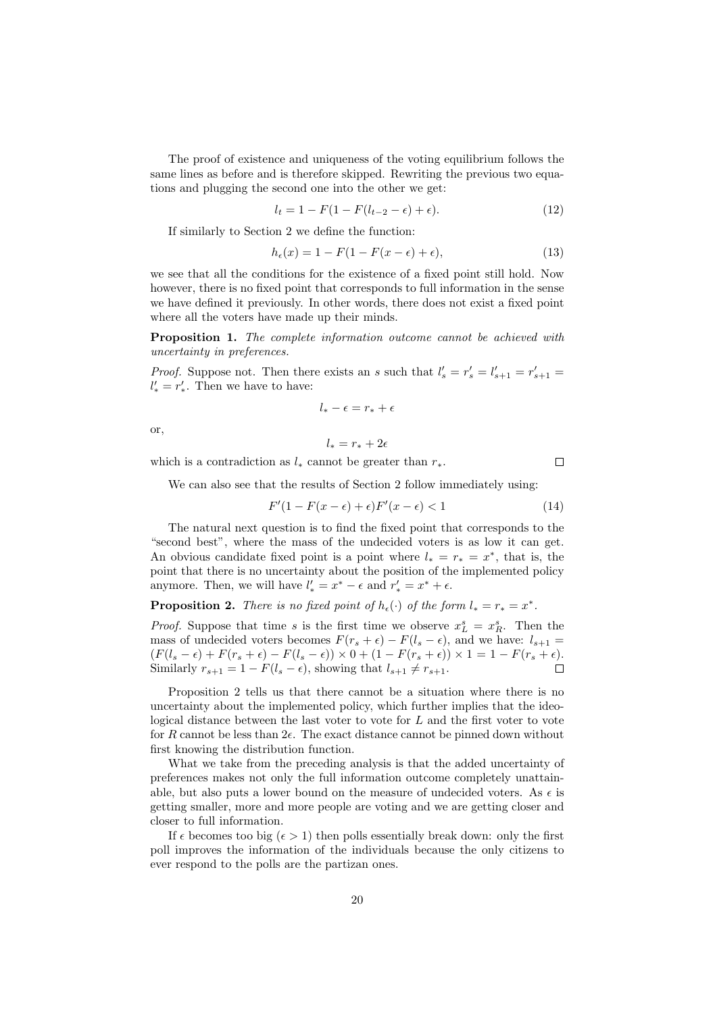The proof of existence and uniqueness of the voting equilibrium follows the same lines as before and is therefore skipped. Rewriting the previous two equations and plugging the second one into the other we get:

$$
l_t = 1 - F(1 - F(l_{t-2} - \epsilon) + \epsilon).
$$
 (12)

If similarly to Section 2 we define the function:

$$
h_{\epsilon}(x) = 1 - F(1 - F(x - \epsilon) + \epsilon),\tag{13}
$$

we see that all the conditions for the existence of a fixed point still hold. Now however, there is no fixed point that corresponds to full information in the sense we have defined it previously. In other words, there does not exist a fixed point where all the voters have made up their minds.

**Proposition 1.** The complete information outcome cannot be achieved with uncertainty in preferences.

*Proof.* Suppose not. Then there exists an s such that  $l'_{s} = r'_{s} = l'_{s+1} = r'_{s+1} =$  $l'_* = r'_*.$  Then we have to have:

$$
l_*-\epsilon=r_*+\epsilon
$$

or,

$$
l_*=r_*+2\epsilon
$$

which is a contradiction as  $l_*$  cannot be greater than  $r_*$ .

We can also see that the results of Section 2 follow immediately using:

$$
F'(1 - F(x - \epsilon) + \epsilon)F'(x - \epsilon) < 1\tag{14}
$$

 $\Box$ 

The natural next question is to find the fixed point that corresponds to the "second best", where the mass of the undecided voters is as low it can get. An obvious candidate fixed point is a point where  $l_* = r_* = x^*$ , that is, the point that there is no uncertainty about the position of the implemented policy anymore. Then, we will have  $l'_* = x^* - \epsilon$  and  $r'_* = x^* + \epsilon$ .

**Proposition 2.** There is no fixed point of  $h_{\epsilon}(\cdot)$  of the form  $l_* = r_* = x^*$ .

*Proof.* Suppose that time s is the first time we observe  $x_L^s = x_R^s$ . Then the mass of undecided voters becomes  $F(r_s + \epsilon) - F(l_s - \epsilon)$ , and we have:  $l_{s+1} =$  $(F(l_s - \epsilon) + F(r_s + \epsilon) - F(l_s - \epsilon)) \times 0 + (1 - F(r_s + \epsilon)) \times 1 = 1 - F(r_s + \epsilon).$ Similarly  $r_{s+1} = 1 - F(l_s - \epsilon)$ , showing that  $l_{s+1} \neq r_{s+1}$ .

Proposition 2 tells us that there cannot be a situation where there is no uncertainty about the implemented policy, which further implies that the ideological distance between the last voter to vote for L and the first voter to vote for R cannot be less than  $2\epsilon$ . The exact distance cannot be pinned down without first knowing the distribution function.

What we take from the preceding analysis is that the added uncertainty of preferences makes not only the full information outcome completely unattainable, but also puts a lower bound on the measure of undecided voters. As  $\epsilon$  is getting smaller, more and more people are voting and we are getting closer and closer to full information.

If  $\epsilon$  becomes too big  $(\epsilon > 1)$  then polls essentially break down: only the first poll improves the information of the individuals because the only citizens to ever respond to the polls are the partizan ones.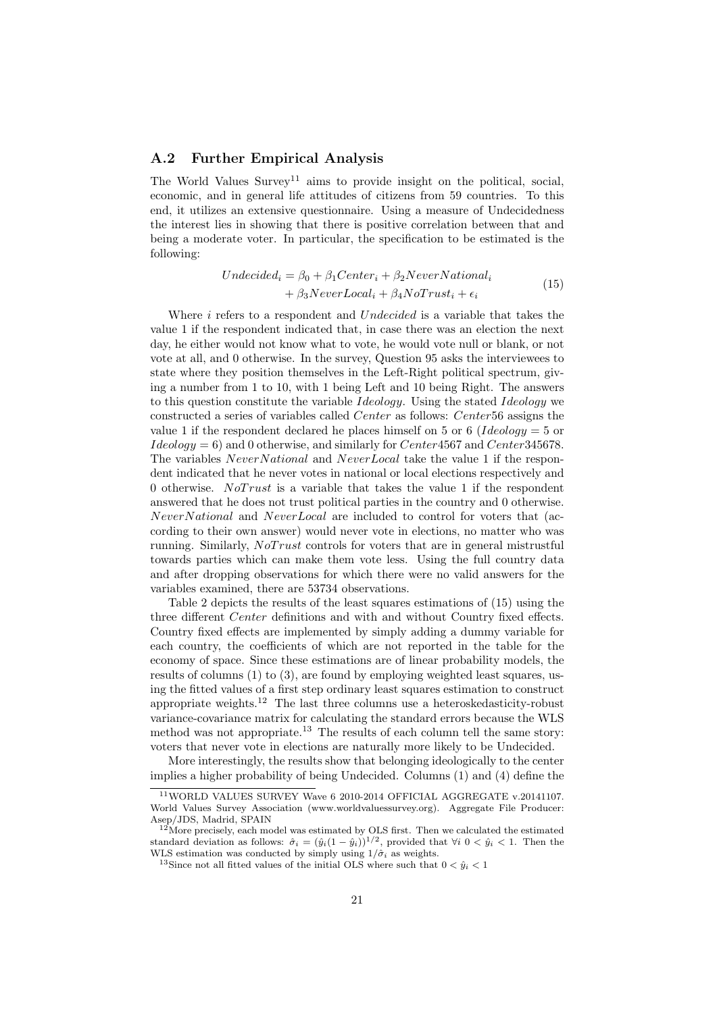### A.2 Further Empirical Analysis

The World Values  $\text{Surve}^{11}$  aims to provide insight on the political, social, economic, and in general life attitudes of citizens from 59 countries. To this end, it utilizes an extensive questionnaire. Using a measure of Undecidedness the interest lies in showing that there is positive correlation between that and being a moderate voter. In particular, the specification to be estimated is the following:

$$
Undecided_i = \beta_0 + \beta_1 Center_i + \beta_2 Never National_i + \beta_3 NeverLocal_i + \beta_4 No Trust_i + \epsilon_i
$$
\n(15)

Where  $i$  refers to a respondent and  $Undecided$  is a variable that takes the value 1 if the respondent indicated that, in case there was an election the next day, he either would not know what to vote, he would vote null or blank, or not vote at all, and 0 otherwise. In the survey, Question 95 asks the interviewees to state where they position themselves in the Left-Right political spectrum, giving a number from 1 to 10, with 1 being Left and 10 being Right. The answers to this question constitute the variable *Ideology*. Using the stated *Ideology* we constructed a series of variables called Center as follows: Center 56 assigns the value 1 if the respondent declared he places himself on 5 or 6 (*Ideology* = 5 or  $Ideology = 6$ ) and 0 otherwise, and similarly for Center 4567 and Center 345678. The variables NeverNational and NeverLocal take the value 1 if the respondent indicated that he never votes in national or local elections respectively and 0 otherwise. NoTrust is a variable that takes the value 1 if the respondent answered that he does not trust political parties in the country and 0 otherwise. NeverN ational and NeverLocal are included to control for voters that (according to their own answer) would never vote in elections, no matter who was running. Similarly,  $No Trust$  controls for voters that are in general mistrustful towards parties which can make them vote less. Using the full country data and after dropping observations for which there were no valid answers for the variables examined, there are 53734 observations.

Table 2 depicts the results of the least squares estimations of (15) using the three different Center definitions and with and without Country fixed effects. Country fixed effects are implemented by simply adding a dummy variable for each country, the coefficients of which are not reported in the table for the economy of space. Since these estimations are of linear probability models, the results of columns (1) to (3), are found by employing weighted least squares, using the fitted values of a first step ordinary least squares estimation to construct appropriate weights.<sup>12</sup> The last three columns use a heteroskedasticity-robust variance-covariance matrix for calculating the standard errors because the WLS method was not appropriate.<sup>13</sup> The results of each column tell the same story: voters that never vote in elections are naturally more likely to be Undecided.

More interestingly, the results show that belonging ideologically to the center implies a higher probability of being Undecided. Columns (1) and (4) define the

<sup>11</sup>WORLD VALUES SURVEY Wave 6 2010-2014 OFFICIAL AGGREGATE v.20141107. World Values Survey Association (www.worldvaluessurvey.org). Aggregate File Producer: Asep/JDS, Madrid, SPAIN

 $12$  More precisely, each model was estimated by OLS first. Then we calculated the estimated standard deviation as follows:  $\hat{\sigma}_i = (\hat{y}_i(1 - \hat{y}_i))^{1/2}$ , provided that  $\forall i \neq 0 \leq \hat{y}_i \leq 1$ . Then the WLS estimation was conducted by simply using  $1/\hat{\sigma}_i$  as weights.

<sup>&</sup>lt;sup>13</sup>Since not all fitted values of the initial OLS where such that  $0 < \hat{y}_i < 1$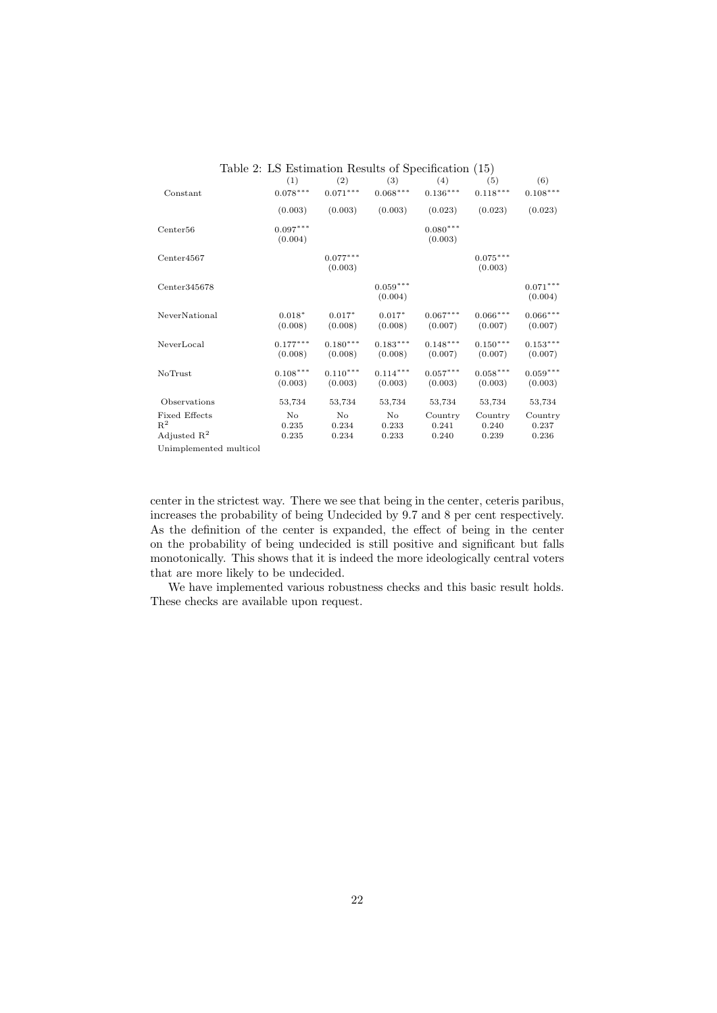| Table 2: LS Estimation Results of Specification (15) |                       |                       |                       |                       |                        |                       |  |  |
|------------------------------------------------------|-----------------------|-----------------------|-----------------------|-----------------------|------------------------|-----------------------|--|--|
|                                                      | (1)                   | (2)                   | (3)                   | (4)                   | (5)                    | (6)                   |  |  |
| Constant                                             | $0.078***$            | $0.071***$            | $0.068***$            | $0.136***$            | $0.118^{\ast\ast\ast}$ | $0.108***$            |  |  |
|                                                      | (0.003)               | (0.003)               | (0.003)               | (0.023)               | (0.023)                | (0.023)               |  |  |
| Center <sub>56</sub>                                 | $0.097***$<br>(0.004) |                       |                       | $0.080***$<br>(0.003) |                        |                       |  |  |
| Center4567                                           |                       | $0.077***$<br>(0.003) |                       |                       | $0.075***$<br>(0.003)  |                       |  |  |
| Center345678                                         |                       |                       | $0.059***$<br>(0.004) |                       |                        | $0.071***$<br>(0.004) |  |  |
| NeverNational                                        | $0.018*$<br>(0.008)   | $0.017*$<br>(0.008)   | $0.017*$<br>(0.008)   | $0.067***$<br>(0.007) | $0.066***$<br>(0.007)  | $0.066***$<br>(0.007) |  |  |
| NeverLocal                                           | $0.177***$<br>(0.008) | $0.180***$<br>(0.008) | $0.183***$<br>(0.008) | $0.148***$<br>(0.007) | $0.150***$<br>(0.007)  | $0.153***$<br>(0.007) |  |  |
| NoTrust                                              | $0.108***$<br>(0.003) | $0.110***$<br>(0.003) | $0.114***$<br>(0.003) | $0.057***$<br>(0.003) | $0.058***$<br>(0.003)  | $0.059***$<br>(0.003) |  |  |
| Observations                                         | 53,734                | 53,734                | 53,734                | 53,734                | 53,734                 | 53,734                |  |  |
| <b>Fixed Effects</b><br>$R^2$                        | No<br>0.235           | No<br>0.234           | No<br>0.233           | Country<br>0.241      | Country<br>0.240       | Country<br>0.237      |  |  |
| Adjusted $R^2$                                       | 0.235                 | 0.234                 | 0.233                 | 0.240                 | 0.239                  | 0.236                 |  |  |
| Unimplemented multicol                               |                       |                       |                       |                       |                        |                       |  |  |

center in the strictest way. There we see that being in the center, ceteris paribus, increases the probability of being Undecided by 9.7 and 8 per cent respectively. As the definition of the center is expanded, the effect of being in the center on the probability of being undecided is still positive and significant but falls monotonically. This shows that it is indeed the more ideologically central voters that are more likely to be undecided.

We have implemented various robustness checks and this basic result holds. These checks are available upon request.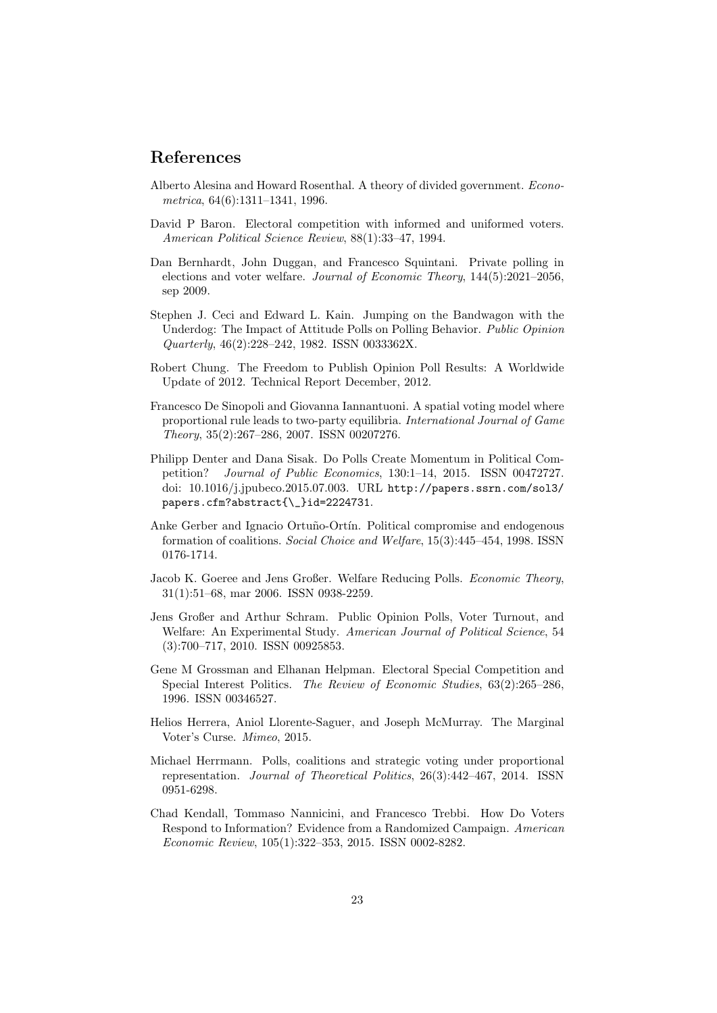## References

- Alberto Alesina and Howard Rosenthal. A theory of divided government. Econometrica, 64(6):1311–1341, 1996.
- David P Baron. Electoral competition with informed and uniformed voters. American Political Science Review, 88(1):33–47, 1994.
- Dan Bernhardt, John Duggan, and Francesco Squintani. Private polling in elections and voter welfare. Journal of Economic Theory, 144(5):2021–2056, sep 2009.
- Stephen J. Ceci and Edward L. Kain. Jumping on the Bandwagon with the Underdog: The Impact of Attitude Polls on Polling Behavior. Public Opinion Quarterly, 46(2):228–242, 1982. ISSN 0033362X.
- Robert Chung. The Freedom to Publish Opinion Poll Results: A Worldwide Update of 2012. Technical Report December, 2012.
- Francesco De Sinopoli and Giovanna Iannantuoni. A spatial voting model where proportional rule leads to two-party equilibria. International Journal of Game Theory, 35(2):267–286, 2007. ISSN 00207276.
- Philipp Denter and Dana Sisak. Do Polls Create Momentum in Political Competition? Journal of Public Economics, 130:1–14, 2015. ISSN 00472727. doi: 10.1016/j.jpubeco.2015.07.003. URL http://papers.ssrn.com/sol3/ papers.cfm?abstract{\\_}id=2224731.
- Anke Gerber and Ignacio Ortuño-Ortín. Political compromise and endogenous formation of coalitions. Social Choice and Welfare, 15(3):445–454, 1998. ISSN 0176-1714.
- Jacob K. Goeree and Jens Großer. Welfare Reducing Polls. Economic Theory, 31(1):51–68, mar 2006. ISSN 0938-2259.
- Jens Großer and Arthur Schram. Public Opinion Polls, Voter Turnout, and Welfare: An Experimental Study. American Journal of Political Science, 54 (3):700–717, 2010. ISSN 00925853.
- Gene M Grossman and Elhanan Helpman. Electoral Special Competition and Special Interest Politics. The Review of Economic Studies, 63(2):265–286, 1996. ISSN 00346527.
- Helios Herrera, Aniol Llorente-Saguer, and Joseph McMurray. The Marginal Voter's Curse. Mimeo, 2015.
- Michael Herrmann. Polls, coalitions and strategic voting under proportional representation. Journal of Theoretical Politics, 26(3):442–467, 2014. ISSN 0951-6298.
- Chad Kendall, Tommaso Nannicini, and Francesco Trebbi. How Do Voters Respond to Information? Evidence from a Randomized Campaign. American Economic Review, 105(1):322–353, 2015. ISSN 0002-8282.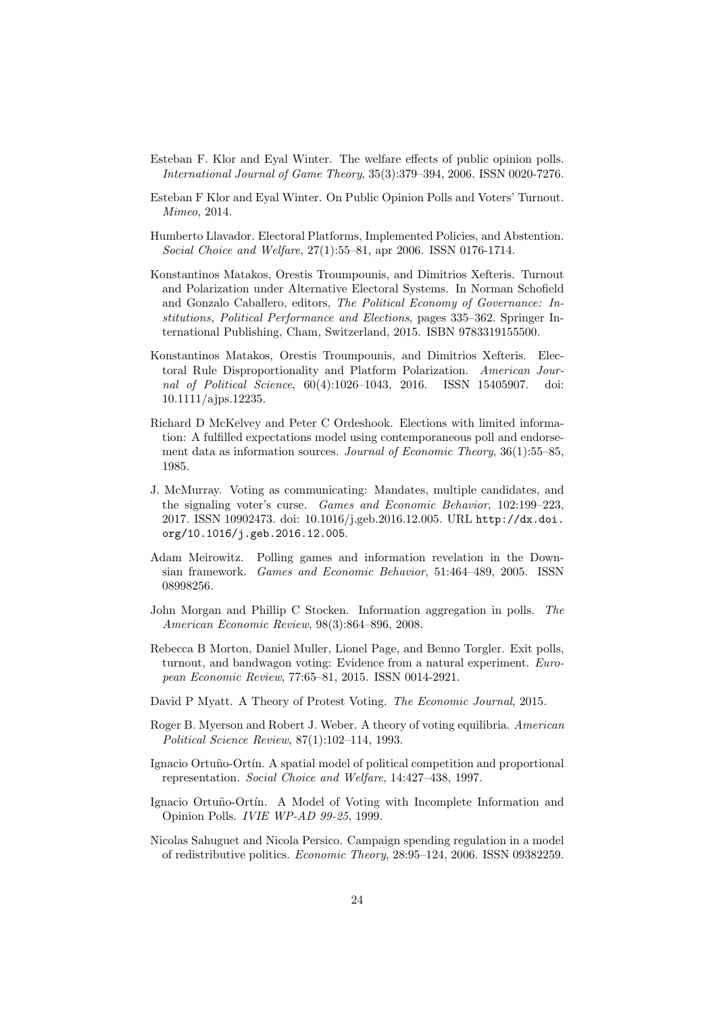- Esteban F. Klor and Eyal Winter. The welfare effects of public opinion polls. International Journal of Game Theory, 35(3):379–394, 2006. ISSN 0020-7276.
- Esteban F Klor and Eyal Winter. On Public Opinion Polls and Voters' Turnout. Mimeo, 2014.
- Humberto Llavador. Electoral Platforms, Implemented Policies, and Abstention. Social Choice and Welfare, 27(1):55–81, apr 2006. ISSN 0176-1714.
- Konstantinos Matakos, Orestis Troumpounis, and Dimitrios Xefteris. Turnout and Polarization under Alternative Electoral Systems. In Norman Schofield and Gonzalo Caballero, editors, The Political Economy of Governance: Institutions, Political Performance and Elections, pages 335–362. Springer International Publishing, Cham, Switzerland, 2015. ISBN 9783319155500.
- Konstantinos Matakos, Orestis Troumpounis, and Dimitrios Xefteris. Electoral Rule Disproportionality and Platform Polarization. American Journal of Political Science, 60(4):1026–1043, 2016. ISSN 15405907. doi: 10.1111/ajps.12235.
- Richard D McKelvey and Peter C Ordeshook. Elections with limited information: A fulfilled expectations model using contemporaneous poll and endorsement data as information sources. Journal of Economic Theory, 36(1):55–85. 1985.
- J. McMurray. Voting as communicating: Mandates, multiple candidates, and the signaling voter's curse. Games and Economic Behavior, 102:199–223, 2017. ISSN 10902473. doi: 10.1016/j.geb.2016.12.005. URL http://dx.doi. org/10.1016/j.geb.2016.12.005.
- Adam Meirowitz. Polling games and information revelation in the Downsian framework. Games and Economic Behavior, 51:464–489, 2005. ISSN 08998256.
- John Morgan and Phillip C Stocken. Information aggregation in polls. The American Economic Review, 98(3):864–896, 2008.
- Rebecca B Morton, Daniel Muller, Lionel Page, and Benno Torgler. Exit polls, turnout, and bandwagon voting: Evidence from a natural experiment. European Economic Review, 77:65–81, 2015. ISSN 0014-2921.
- David P Myatt. A Theory of Protest Voting. The Economic Journal, 2015.
- Roger B. Myerson and Robert J. Weber. A theory of voting equilibria. American Political Science Review, 87(1):102–114, 1993.
- Ignacio Ortuño-Ortín. A spatial model of political competition and proportional representation. Social Choice and Welfare, 14:427–438, 1997.
- Ignacio Ortuño-Ortín. A Model of Voting with Incomplete Information and Opinion Polls. IVIE WP-AD 99-25, 1999.
- Nicolas Sahuguet and Nicola Persico. Campaign spending regulation in a model of redistributive politics. Economic Theory, 28:95–124, 2006. ISSN 09382259.